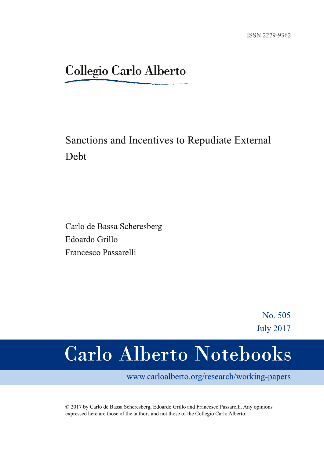# **Collegio Carlo Alberto**

## Sanctions and Incentives to Repudiate External Debt

Carlo de Bassa Scheresberg Edoardo Grillo Francesco Passarelli

> No. 505 **July 2017**

# Carlo Alberto Notebooks

www.carloalberto.org/research/working-papers

© 2017 by Carlo de Bassa Scheresberg, Edoardo Grillo and Francesco Passarelli. Any opinions expressed here are those of the authors and not those of the Collegio Carlo Alberto.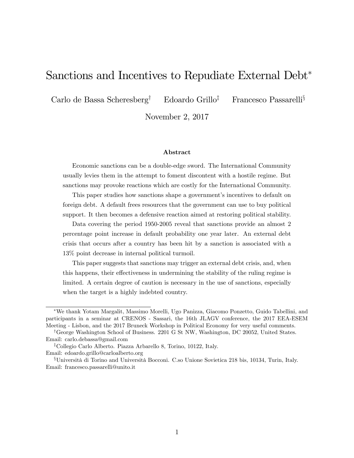## Sanctions and Incentives to Repudiate External Debt

Carlo de Bassa Scheresberg<sup>†</sup> Edoardo Grillo<sup>‡</sup> Francesco Passarelli<sup>§</sup>

November 2, 2017

#### Abstract

Economic sanctions can be a double-edge sword. The International Community usually levies them in the attempt to foment discontent with a hostile regime. But sanctions may provoke reactions which are costly for the International Community.

This paper studies how sanctions shape a government's incentives to default on foreign debt. A default frees resources that the government can use to buy political support. It then becomes a defensive reaction aimed at restoring political stability.

Data covering the period 1950-2005 reveal that sanctions provide an almost 2 percentage point increase in default probability one year later. An external debt crisis that occurs after a country has been hit by a sanction is associated with a 13% point decrease in internal political turmoil.

This paper suggests that sanctions may trigger an external debt crisis, and, when this happens, their effectiveness in undermining the stability of the ruling regime is limited. A certain degree of caution is necessary in the use of sanctions, especially when the target is a highly indebted country.

We thank Yotam Margalit, Massimo Morelli, Ugo Panizza, Giacomo Ponzetto, Guido Tabellini, and participants in a seminar at CRENOS - Sassari, the 16th JLAGV conference, the 2017 EEA-ESEM Meeting - Lisbon, and the 2017 Bruneck Workshop in Political Economy for very useful comments.

<sup>&</sup>lt;sup>†</sup>George Washington School of Business. 2201 G St NW, Washington, DC 20052, United States. Email: carlo.debassa@gmail.com

<sup>&</sup>lt;sup>‡</sup>Collegio Carlo Alberto. Piazza Arbarello 8, Torino, 10122, Italy. Email: edoardo.grillo@carloalberto.org

 $$Università di Torino and Università Bocconi. C. so Unione Sovietica 218 bis, 10134, Turin, Italy.$ Email: francesco.passarelli@unito.it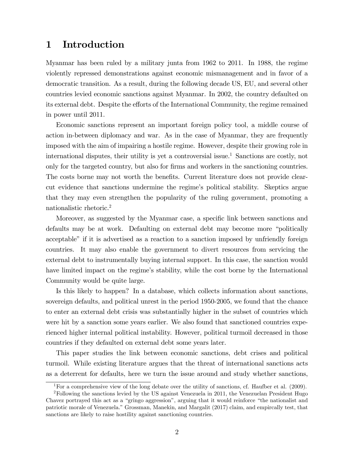## 1 Introduction

Myanmar has been ruled by a military junta from 1962 to 2011. In 1988, the regime violently repressed demonstrations against economic mismanagement and in favor of a democratic transition. As a result, during the following decade US, EU, and several other countries levied economic sanctions against Myanmar. In 2002, the country defaulted on its external debt. Despite the efforts of the International Community, the regime remained in power until 2011.

Economic sanctions represent an important foreign policy tool, a middle course of action in-between diplomacy and war. As in the case of Myanmar, they are frequently imposed with the aim of impairing a hostile regime. However, despite their growing role in international disputes, their utility is yet a controversial issue.<sup>1</sup> Sanctions are costly, not only for the targeted country, but also for firms and workers in the sanctioning countries. The costs borne may not worth the benefits. Current literature does not provide clearcut evidence that sanctions undermine the regime's political stability. Skeptics argue that they may even strengthen the popularity of the ruling government, promoting a nationalistic rhetoric.<sup>2</sup>

Moreover, as suggested by the Myanmar case, a specific link between sanctions and defaults may be at work. Defaulting on external debt may become more "politically acceptable" if it is advertised as a reaction to a sanction imposed by unfriendly foreign countries. It may also enable the government to divert resources from servicing the external debt to instrumentally buying internal support. In this case, the sanction would have limited impact on the regime's stability, while the cost borne by the International Community would be quite large.

Is this likely to happen? In a database, which collects information about sanctions, sovereign defaults, and political unrest in the period 1950-2005, we found that the chance to enter an external debt crisis was substantially higher in the subset of countries which were hit by a sanction some years earlier. We also found that sanctioned countries experienced higher internal political instability. However, political turmoil decreased in those countries if they defaulted on external debt some years later.

This paper studies the link between economic sanctions, debt crises and political turmoil. While existing literature argues that the threat of international sanctions acts as a deterrent for defaults, here we turn the issue around and study whether sanctions,

<sup>&</sup>lt;sup>1</sup>For a comprehensive view of the long debate over the utility of sanctions, cf. Haufber et al. (2009).

<sup>2</sup>Following the sanctions levied by the US against Venezuela in 2011, the Venezuelan President Hugo Chavez portrayed this act as a "gringo aggression", arguing that it would reinforce "the nationalist and patriotic morale of Venezuela." Grossman, Manekin, and Margalit (2017) claim, and empircally test, that sanctions are likely to raise hostility against sanctioning countries.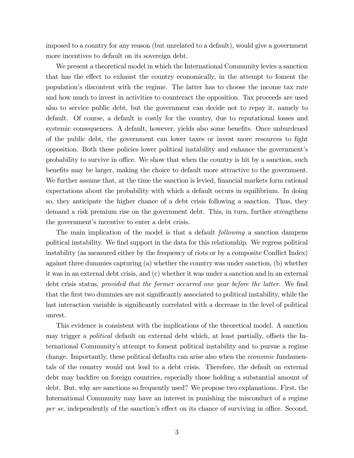imposed to a country for any reason (but unrelated to a default), would give a government more incentives to default on its sovereign debt.

We present a theoretical model in which the International Community levies a sanction that has the effect to exhaust the country economically, in the attempt to foment the populationís discontent with the regime. The latter has to choose the income tax rate and how much to invest in activities to counteract the opposition. Tax proceeds are used also to service public debt, but the government can decide not to repay it, namely to default. Of course, a default is costly for the country, due to reputational losses and systemic consequences. A default, however, yields also some benefits. Once unburdened of the public debt, the government can lower taxes or invest more resources to fight opposition. Both these policies lower political instability and enhance the governmentís probability to survive in office. We show that when the country is hit by a sanction, such benefits may be larger, making the choice to default more attractive to the government. We further assume that, at the time the sanction is levied, financial markets form rational expectations about the probability with which a default occurs in equilibrium. In doing so, they anticipate the higher chance of a debt crisis following a sanction. Thus, they demand a risk premium rise on the government debt. This, in turn, further strengthens the government's incentive to enter a debt crisis.

The main implication of the model is that a default *following* a sanction dampens political instability. We find support in the data for this relationship. We regress political instability (as measured either by the frequency of riots or by a composite Conflict Index) against three dummies capturing (a) whether the country was under sanction, (b) whether it was in an external debt crisis, and (c) whether it was under a sanction and in an external debt crisis status, provided that the former occurred one year before the latter. We find that the first two dummies are not significantly associated to political instability, while the last interaction variable is significantly correlated with a decrease in the level of political unrest.

This evidence is consistent with the implications of the theoretical model. A sanction may trigger a *political* default on external debt which, at least partially, offsets the International Communityís attempt to foment political instability and to pursue a regime change. Importantly, these political defaults can arise also when the *economic* fundamentals of the country would not lead to a debt crisis. Therefore, the default on external debt may backfire on foreign countries, especially those holding a substantial amount of debt. But, why are sanctions so frequently used? We propose two explanations. First, the International Community may have an interest in punishing the misconduct of a regime per se, independently of the sanction's effect on its chance of surviving in office. Second,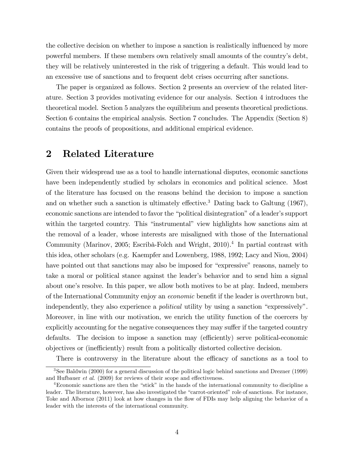the collective decision on whether to impose a sanction is realistically influenced by more powerful members. If these members own relatively small amounts of the countryís debt, they will be relatively uninterested in the risk of triggering a default. This would lead to an excessive use of sanctions and to frequent debt crises occurring after sanctions.

The paper is organized as follows. Section 2 presents an overview of the related literature. Section 3 provides motivating evidence for our analysis. Section 4 introduces the theoretical model. Section 5 analyzes the equilibrium and presents theoretical predictions. Section 6 contains the empirical analysis. Section 7 concludes. The Appendix (Section 8) contains the proofs of propositions, and additional empirical evidence.

## 2 Related Literature

Given their widespread use as a tool to handle international disputes, economic sanctions have been independently studied by scholars in economics and political science. Most of the literature has focused on the reasons behind the decision to impose a sanction and on whether such a sanction is ultimately effective.<sup>3</sup> Dating back to Galtung (1967), economic sanctions are intended to favor the "political disintegration" of a leader's support within the targeted country. This "instrumental" view highlights how sanctions aim at the removal of a leader, whose interests are misaligned with those of the International Community (Marinov, 2005; Escribà-Folch and Wright, 2010).<sup>4</sup> In partial contrast with this idea, other scholars (e.g. Kaempfer and Lowenberg, 1988, 1992; Lacy and Niou, 2004) have pointed out that sanctions may also be imposed for "expressive" reasons, namely to take a moral or political stance against the leader's behavior and to send him a signal about one's resolve. In this paper, we allow both motives to be at play. Indeed, members of the International Community enjoy an *economic* benefit if the leader is overthrown but, independently, they also experience a *political* utility by using a sanction "expressively". Moreover, in line with our motivation, we enrich the utility function of the coercers by explicitly accounting for the negative consequences they may suffer if the targeted country defaults. The decision to impose a sanction may (efficiently) serve political-economic objectives or (inefficiently) result from a politically distorted collective decision.

There is controversy in the literature about the efficacy of sanctions as a tool to

<sup>3</sup>See Baldwin (2000) for a general discussion of the political logic behind sanctions and Drezner (1999) and Hufbauer  $et$  al. (2009) for reviews of their scope and effectiveness.

 $4$ Economic sanctions are then the "stick" in the hands of the international community to discipline a leader. The literature, however, has also investigated the "carrot-oriented" role of sanctions. For instance, Toke and Albornoz (2011) look at how changes in the flow of FDIs may help aligning the behavior of a leader with the interests of the international community.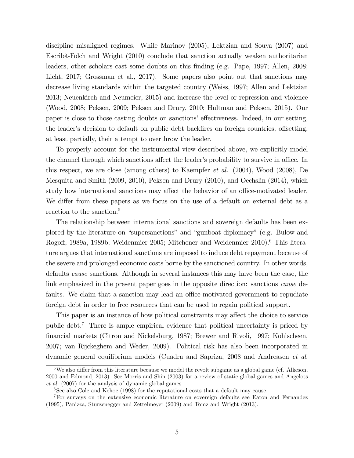discipline misaligned regimes. While Marinov (2005), Lektzian and Souva (2007) and Escribà-Folch and Wright (2010) conclude that sanction actually weaken authoritarian leaders, other scholars cast some doubts on this Önding (e.g. Pape, 1997; Allen, 2008; Licht, 2017; Grossman et al., 2017). Some papers also point out that sanctions may decrease living standards within the targeted country (Weiss, 1997; Allen and Lektzian 2013; Neuenkirch and Neumeier, 2015) and increase the level or repression and violence (Wood, 2008; Peksen, 2009; Peksen and Drury, 2010; Hultman and Peksen, 2015). Our paper is close to those casting doubts on sanctions' effectiveness. Indeed, in our setting, the leader's decision to default on public debt backfires on foreign countries, offsetting, at least partially, their attempt to overthrow the leader.

To properly account for the instrumental view described above, we explicitly model the channel through which sanctions affect the leader's probability to survive in office. In this respect, we are close (among others) to Kaempfer et al. (2004), Wood (2008), De Mesquita and Smith (2009, 2010), Peksen and Drury (2010), and Oechslin (2014), which study how international sanctions may affect the behavior of an office-motivated leader. We differ from these papers as we focus on the use of a default on external debt as a reaction to the sanction.<sup>5</sup>

The relationship between international sanctions and sovereign defaults has been explored by the literature on "supersanctions" and "gunboat diplomacy" (e.g. Bulow and Rogoff, 1989a, 1989b; Weidenmier 2005; Mitchener and Weidenmier 2010).<sup>6</sup> This literature argues that international sanctions are imposed to induce debt repayment because of the severe and prolonged economic costs borne by the sanctioned country. In other words, defaults cause sanctions. Although in several instances this may have been the case, the link emphasized in the present paper goes in the opposite direction: sanctions cause defaults. We claim that a sanction may lead an office-motivated government to repudiate foreign debt in order to free resources that can be used to regain political support.

This paper is an instance of how political constraints may affect the choice to service public debt.<sup>7</sup> There is ample empirical evidence that political uncertainty is priced by Önancial markets (Citron and Nickelsburg, 1987; Brewer and Rivoli, 1997; Kohlscheen, 2007; van Rijckeghem and Weder, 2009). Political risk has also been incorporated in dynamic general equilibrium models (Cuadra and Sapriza, 2008 and Andreasen et al.

 $5$ We also differ from this literature because we model the revolt subgame as a global game (cf. Alkeson, 2000 and Edmond, 2013). See Morris and Shin (2003) for a review of static global games and Angelots et al. (2007) for the analysis of dynamic global games

<sup>&</sup>lt;sup>6</sup>See also Cole and Kehoe (1998) for the reputational costs that a default may cause.

<sup>7</sup>For surveys on the extensive economic literature on sovereign defaults see Eaton and Fernandez (1995), Panizza, Sturzenegger and Zettelmeyer (2009) and Tomz and Wright (2013).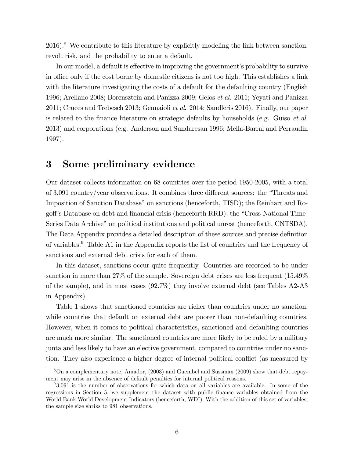$2016$ .<sup>8</sup> We contribute to this literature by explicitly modeling the link between sanction, revolt risk, and the probability to enter a default.

In our model, a default is effective in improving the government's probability to survive in office only if the cost borne by domestic citizens is not too high. This establishes a link with the literature investigating the costs of a default for the defaulting country (English 1996; Arellano 2008; Borensztein and Panizza 2009; Gelos et al. 2011; Yeyati and Panizza 2011; Cruces and Trebesch 2013; Gennaioli et al. 2014; Sandleris 2016). Finally, our paper is related to the finance literature on strategic defaults by households (e.g. Guiso *et al.*) 2013) and corporations (e.g. Anderson and Sundaresan 1996; Mella-Barral and Perraudin 1997).

## 3 Some preliminary evidence

Our dataset collects information on 68 countries over the period 1950-2005, with a total of 3,091 country/year observations. It combines three different sources: the "Threats and Imposition of Sanction Database" on sanctions (henceforth, TISD); the Reinhart and Rogoff's Database on debt and financial crisis (henceforth RRD); the "Cross-National Time-Series Data Archive" on political institutions and political unrest (henceforth, CNTSDA). The Data Appendix provides a detailed description of these sources and precise definition of variables.<sup>9</sup> Table A1 in the Appendix reports the list of countries and the frequency of sanctions and external debt crisis for each of them.

In this dataset, sanctions occur quite frequently. Countries are recorded to be under sanction in more than 27% of the sample. Sovereign debt crises are less frequent (15.49% of the sample), and in most cases (92.7%) they involve external debt (see Tables A2-A3 in Appendix).

Table 1 shows that sanctioned countries are richer than countries under no sanction, while countries that default on external debt are poorer than non-defaulting countries. However, when it comes to political characteristics, sanctioned and defaulting countries are much more similar. The sanctioned countries are more likely to be ruled by a military junta and less likely to have an elective government, compared to countries under no sanction. They also experience a higher degree of internal political conflict (as measured by

<sup>8</sup>On a complementary note, Amador, (2003) and Guembel and Sussman (2009) show that debt repayment may arise in the absence of default penalties for internal political reasons.

<sup>&</sup>lt;sup>9</sup>3,091 is the number of observations for which data on all variables are available. In some of the regressions in Section 5, we supplement the dataset with public finance variables obtained from the World Bank World Development Indicators (henceforth, WDI). With the addition of this set of variables, the sample size shriks to 981 observations.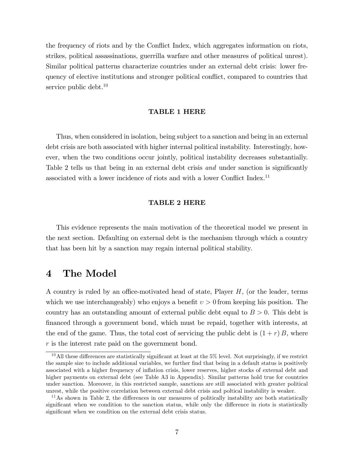the frequency of riots and by the Conflict Index, which aggregates information on riots, strikes, political assassinations, guerrilla warfare and other measures of political unrest). Similar political patterns characterize countries under an external debt crisis: lower frequency of elective institutions and stronger political conflict, compared to countries that service public debt. $10$ 

#### TABLE 1 HERE

Thus, when considered in isolation, being subject to a sanction and being in an external debt crisis are both associated with higher internal political instability. Interestingly, however, when the two conditions occur jointly, political instability decreases substantially. Table 2 tells us that being in an external debt crisis and under sanction is significantly associated with a lower incidence of riots and with a lower Conflict Index.<sup>11</sup>

#### TABLE 2 HERE

This evidence represents the main motivation of the theoretical model we present in the next section. Defaulting on external debt is the mechanism through which a country that has been hit by a sanction may regain internal political stability.

## 4 The Model

A country is ruled by an office-motivated head of state, Player  $H$ , (or the leader, terms which we use interchangeably) who enjoys a benefit  $v > 0$  from keeping his position. The country has an outstanding amount of external public debt equal to  $B > 0$ . This debt is Önanced through a government bond, which must be repaid, together with interests, at the end of the game. Thus, the total cost of servicing the public debt is  $(1 + r)B$ , where r is the interest rate paid on the government bond.

<sup>&</sup>lt;sup>10</sup>All these differences are statistically significant at least at the  $5\%$  level. Not surprisingly, if we restrict the sample size to include additional variables, we further find that being in a default status is positively associated with a higher frequency of ináation crisis, lower reserves, higher stocks of external debt and higher payments on external debt (see Table A3 in Appendix). Similar patterns hold true for countries under sanction. Moreover, in this restricted sample, sanctions are still associated with greater political unrest, while the positive correlation between external debt crisis and poltical instability is weaker.

 $11\text{As}$  shown in Table 2, the differences in our measures of politically instability are both statistically significant when we condition to the sanction status, while only the difference in riots is statistically significant when we condition on the external debt crisis status.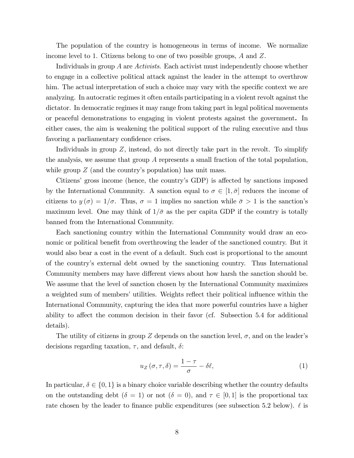The population of the country is homogeneous in terms of income. We normalize income level to 1. Citizens belong to one of two possible groups, A and Z.

Individuals in group A are Activists. Each activist must independently choose whether to engage in a collective political attack against the leader in the attempt to overthrow him. The actual interpretation of such a choice may vary with the specific context we are analyzing. In autocratic regimes it often entails participating in a violent revolt against the dictator. In democratic regimes it may range from taking part in legal political movements or peaceful demonstrations to engaging in violent protests against the government. In either cases, the aim is weakening the political support of the ruling executive and thus favoring a parliamentary confidence crises.

Individuals in group  $Z$ , instead, do not directly take part in the revolt. To simplify the analysis, we assume that group A represents a small fraction of the total population, while group  $Z$  (and the country's population) has unit mass.

Citizens' gross income (hence, the country's GDP) is affected by sanctions imposed by the International Community. A sanction equal to  $\sigma \in [1, \bar{\sigma}]$  reduces the income of citizens to  $y(\sigma) = 1/\sigma$ . Thus,  $\sigma = 1$  implies no sanction while  $\bar{\sigma} > 1$  is the sanction's maximum level. One may think of  $1/\bar{\sigma}$  as the per capita GDP if the country is totally banned from the International Community.

Each sanctioning country within the International Community would draw an economic or political benefit from overthrowing the leader of the sanctioned country. But it would also bear a cost in the event of a default. Such cost is proportional to the amount of the countryís external debt owned by the sanctioning country. Thus International Community members may have different views about how harsh the sanction should be. We assume that the level of sanction chosen by the International Community maximizes a weighted sum of members' utilities. Weights reflect their political influence within the International Community, capturing the idea that more powerful countries have a higher ability to affect the common decision in their favor (cf. Subsection 5.4 for additional details).

The utility of citizens in group Z depends on the sanction level,  $\sigma$ , and on the leader's decisions regarding taxation,  $\tau$ , and default,  $\delta$ :

$$
u_Z(\sigma, \tau, \delta) = \frac{1 - \tau}{\sigma} - \delta \ell,\tag{1}
$$

In particular,  $\delta \in \{0, 1\}$  is a binary choice variable describing whether the country defaults on the outstanding debt  $(\delta = 1)$  or not  $(\delta = 0)$ , and  $\tau \in [0, 1]$  is the proportional tax rate chosen by the leader to finance public expenditures (see subsection 5.2 below).  $\ell$  is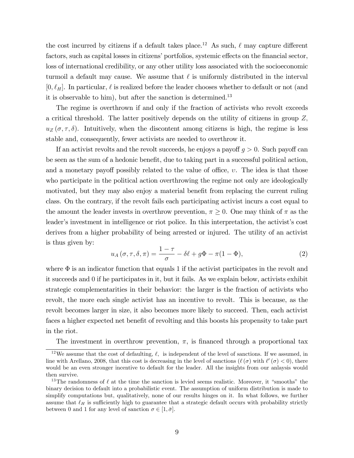the cost incurred by citizens if a default takes place.<sup>12</sup> As such,  $\ell$  may capture different factors, such as capital losses in citizens' portfolios, systemic effects on the financial sector, loss of international credibility, or any other utility loss associated with the socioeconomic turmoil a default may cause. We assume that  $\ell$  is uniformly distributed in the interval  $[0, \ell_H]$ . In particular,  $\ell$  is realized before the leader chooses whether to default or not (and it is observable to him), but after the sanction is determined.<sup>13</sup>

The regime is overthrown if and only if the fraction of activists who revolt exceeds a critical threshold. The latter positively depends on the utility of citizens in group  $Z$ ,  $u_Z(\sigma, \tau, \delta)$ . Intuitively, when the discontent among citizens is high, the regime is less stable and, consequently, fewer activists are needed to overthrow it.

If an activist revolts and the revolt succeeds, he enjoys a payoff  $q > 0$ . Such payoff can be seen as the sum of a hedonic benefit, due to taking part in a successful political action, and a monetary payoff possibly related to the value of office,  $v$ . The idea is that those who participate in the political action overthrowing the regime not only are ideologically motivated, but they may also enjoy a material benefit from replacing the current ruling class. On the contrary, if the revolt fails each participating activist incurs a cost equal to the amount the leader invests in overthrow prevention,  $\pi \geq 0$ . One may think of  $\pi$  as the leader's investment in intelligence or riot police. In this interpretation, the activist's cost derives from a higher probability of being arrested or injured. The utility of an activist is thus given by:

$$
u_A(\sigma, \tau, \delta, \pi) = \frac{1 - \tau}{\sigma} - \delta\ell + g\Phi - \pi(1 - \Phi),\tag{2}
$$

where  $\Phi$  is an indicator function that equals 1 if the activist participates in the revolt and it succeeds and 0 if he participates in it, but it fails. As we explain below, activists exhibit strategic complementarities in their behavior: the larger is the fraction of activists who revolt, the more each single activist has an incentive to revolt. This is because, as the revolt becomes larger in size, it also becomes more likely to succeed. Then, each activist faces a higher expected net benefit of revolting and this boosts his propensity to take part in the riot.

The investment in overthrow prevention,  $\pi$ , is financed through a proportional tax

<sup>&</sup>lt;sup>12</sup>We assume that the cost of defaulting,  $\ell$ , is independent of the level of sanctions. If we assumed, in line with Arellano, 2008, that this cost is decreasing in the level of sanctions  $(\ell(\sigma)$  with  $\ell'(\sigma) < 0$ , there would be an even stronger incentive to default for the leader. All the insights from our anlaysis would then survive.

<sup>&</sup>lt;sup>13</sup>The randomness of  $\ell$  at the time the sanction is levied seems realistic. Moreover, it "smooths" the binary decision to default into a probabilistic event. The assumption of uniform distribution is made to simplify computations but, qualitatively, none of our results hinges on it. In what follows, we further assume that  $\ell_H$  is sufficiently high to guarantee that a strategic default occurs with probability strictly between 0 and 1 for any level of sanction  $\sigma \in [1, \bar{\sigma}].$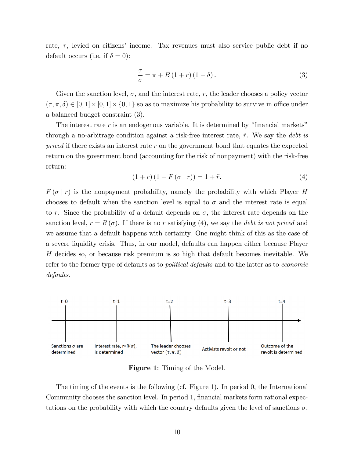rate,  $\tau$ , levied on citizens' income. Tax revenues must also service public debt if no default occurs (i.e. if  $\delta = 0$ ):

$$
\frac{\tau}{\sigma} = \pi + B(1+r)(1-\delta). \tag{3}
$$

Given the sanction level,  $\sigma$ , and the interest rate, r, the leader chooses a policy vector  $(\tau, \pi, \delta) \in [0, 1] \times [0, 1] \times \{0, 1\}$  so as to maximize his probability to survive in office under a balanced budget constraint (3).

The interest rate  $r$  is an endogenous variable. It is determined by "financial markets" through a no-arbitrage condition against a risk-free interest rate,  $\tilde{r}$ . We say the *debt is* priced if there exists an interest rate  $r$  on the government bond that equates the expected return on the government bond (accounting for the risk of nonpayment) with the risk-free return:

$$
(1+r)(1 - F(\sigma | r)) = 1 + \tilde{r}.
$$
\n
$$
(4)
$$

 $F(\sigma | r)$  is the nonpayment probability, namely the probability with which Player H chooses to default when the sanction level is equal to  $\sigma$  and the interest rate is equal to r. Since the probability of a default depends on  $\sigma$ , the interest rate depends on the sanction level,  $r = R(\sigma)$ . If there is no r satisfying (4), we say the *debt is not priced* and we assume that a default happens with certainty. One might think of this as the case of a severe liquidity crisis. Thus, in our model, defaults can happen either because Player H decides so, or because risk premium is so high that default becomes inevitable. We refer to the former type of defaults as to *political defaults* and to the latter as to *economic* defaults.



Figure 1: Timing of the Model.

The timing of the events is the following (cf. Figure 1). In period 0, the International Community chooses the sanction level. In period 1, financial markets form rational expectations on the probability with which the country defaults given the level of sanctions  $\sigma$ ,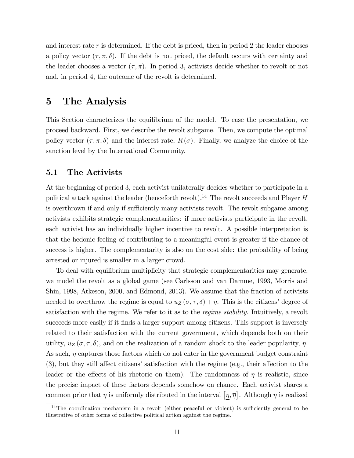and interest rate  $r$  is determined. If the debt is priced, then in period 2 the leader chooses a policy vector  $(\tau, \pi, \delta)$ . If the debt is not priced, the default occurs with certainty and the leader chooses a vector  $(\tau, \pi)$ . In period 3, activists decide whether to revolt or not and, in period 4, the outcome of the revolt is determined.

## 5 The Analysis

This Section characterizes the equilibrium of the model. To ease the presentation, we proceed backward. First, we describe the revolt subgame. Then, we compute the optimal policy vector  $(\tau, \pi, \delta)$  and the interest rate,  $R(\sigma)$ . Finally, we analyze the choice of the sanction level by the International Community.

## 5.1 The Activists

At the beginning of period 3, each activist unilaterally decides whether to participate in a political attack against the leader (henceforth revolt).<sup>14</sup> The revolt succeeds and Player  $H$ is overthrown if and only if sufficiently many activists revolt. The revolt subgame among activists exhibits strategic complementarities: if more activists participate in the revolt, each activist has an individually higher incentive to revolt. A possible interpretation is that the hedonic feeling of contributing to a meaningful event is greater if the chance of success is higher. The complementarity is also on the cost side: the probability of being arrested or injured is smaller in a larger crowd.

To deal with equilibrium multiplicity that strategic complementarities may generate, we model the revolt as a global game (see Carlsson and van Damme, 1993, Morris and Shin, 1998, Atkeson, 2000, and Edmond, 2013). We assume that the fraction of activists needed to overthrow the regime is equal to  $u_Z(\sigma, \tau, \delta) + \eta$ . This is the citizens' degree of satisfaction with the regime. We refer to it as to the *regime stability*. Intuitively, a revolt succeeds more easily if it finds a larger support among citizens. This support is inversely related to their satisfaction with the current government, which depends both on their utility,  $u_Z(\sigma, \tau, \delta)$ , and on the realization of a random shock to the leader popularity,  $\eta$ . As such,  $\eta$  captures those factors which do not enter in the government budget constraint  $(3)$ , but they still affect citizens' satisfaction with the regime (e.g., their affection to the leader or the effects of his rhetoric on them). The randomness of  $\eta$  is realistic, since the precise impact of these factors depends somehow on chance. Each activist shares a common prior that  $\eta$  is uniformly distributed in the interval  $[\eta, \overline{\eta}]$ . Although  $\eta$  is realized

 $14$ The coordination mechanism in a revolt (either peaceful or violent) is sufficiently general to be illustrative of other forms of collective political action against the regime.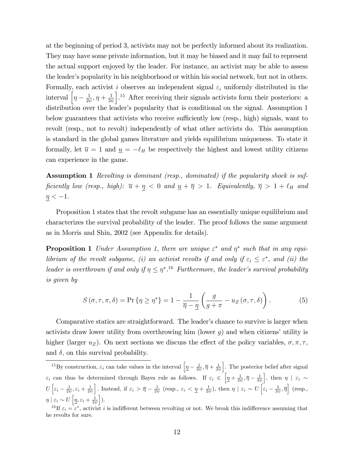at the beginning of period 3, activists may not be perfectly informed about its realization. They may have some private information, but it may be biased and it may fail to represent the actual support enjoyed by the leader. For instance, an activist may be able to assess the leader's popularity in his neighborhood or within his social network, but not in others. Formally, each activist i observes an independent signal  $\varepsilon_i$  uniformly distributed in the interval  $\left[\eta - \frac{1}{2\eta}\right]$  $\frac{1}{2\psi}, \eta+\frac{1}{2\psi}$  $2\psi$ <sup>15</sup> After receiving their signals activists form their posteriors: a distribution over the leader's popularity that is conditional on the signal. Assumption 1 below guarantees that activists who receive sufficiently low (resp., high) signals, want to revolt (resp., not to revolt) independently of what other activists do. This assumption is standard in the global games literature and yields equilibrium uniqueness. To state it formally, let  $\bar{u} = 1$  and  $\bar{u} = -\ell_H$  be respectively the highest and lowest utility citizens can experience in the game.

Assumption 1 Revolting is dominant (resp., dominated) if the popularity shock is sufficiently low (resp., high):  $\overline{u} + \underline{\eta} < 0$  and  $\underline{u} + \overline{\eta} > 1$ . Equivalently,  $\overline{\eta} > 1 + \ell_H$  and  $\eta < -1.$ 

Proposition 1 states that the revolt subgame has an essentially unique equilibrium and characterizes the survival probability of the leader. The proof follows the same argument as in Morris and Shin, 2002 (see Appendix for details).

**Proposition 1** Under Assumption 1, there are unique  $\varepsilon^*$  and  $\eta^*$  such that in any equilibrium of the revolt subgame, (i) an activist revolts if and only if  $\varepsilon_i \leq \varepsilon^*$ , and (ii) the leader is overthrown if and only if  $\eta \leq \eta^*$ .<sup>16</sup> Furthermore, the leader's survival probability is given by

$$
S(\sigma, \tau, \pi, \delta) = \Pr \{ \eta \ge \eta^* \} = 1 - \frac{1}{\overline{\eta} - \underline{\eta}} \left( \frac{g}{g + \pi} - u_Z(\sigma, \tau, \delta) \right). \tag{5}
$$

Comparative statics are straightforward. The leader's chance to survive is larger when activists draw lower utility from overthrowing him (lower  $g$ ) and when citizens' utility is higher (larger  $u_Z$ ). On next sections we discuss the effect of the policy variables,  $\sigma, \pi, \tau$ , and  $\delta$ , on this survival probability.

<sup>&</sup>lt;sup>15</sup>By construction,  $\varepsilon_i$  can take values in the interval  $\left[ \underline{\eta} - \frac{1}{2\psi}, \overline{\eta} + \frac{1}{2\psi} \right]$ . The posterior belief after signal  $\varepsilon_i$  can thus be determined through Bayes rule as follows. If  $\varepsilon_i \in \left[ \underline{\eta} + \frac{1}{2\psi}, \overline{\eta} - \frac{1}{2\psi} \right]$ ], then  $\eta \mid \varepsilon_i \sim$  $U\left[\varepsilon_i-\frac{1}{2\psi},\varepsilon_i+\frac{1}{2\psi}\right]$ Instead, if  $\varepsilon_i > \overline{\eta} - \frac{1}{2\psi}$  (resp.,  $\varepsilon_i < \underline{\eta} + \frac{1}{2\psi}$ ), then  $\eta \mid \varepsilon_i \sim U \left[ \varepsilon_i - \frac{1}{2\psi}, \overline{\eta} \right]$  (resp.,  $\eta \mid \varepsilon_i \sim U\left[\underline{\eta}, \varepsilon_i + \frac{1}{2\psi}\right]$  $\cdot$ 

<sup>&</sup>lt;sup>16</sup>If  $\varepsilon_i = \varepsilon^*$ , activist i is indifferent between revolting or not. We break this indifference assuming that he revolts for sure.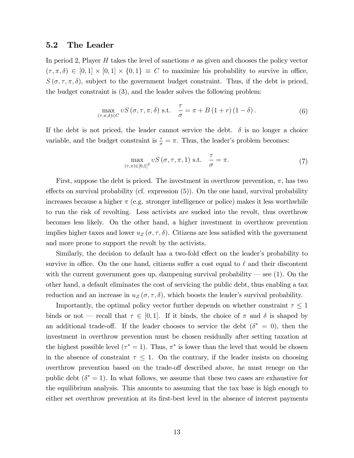### 5.2 The Leader

In period 2, Player H takes the level of sanctions  $\sigma$  as given and chooses the policy vector  $(\tau, \pi, \delta) \in [0, 1] \times [0, 1] \times \{0, 1\} \equiv C$  to maximize his probability to survive in office,  $S(\sigma, \tau, \pi, \delta)$ , subject to the government budget constraint. Thus, if the debt is priced, the budget constraint is (3), and the leader solves the following problem:

$$
\max_{(\tau,\pi,\delta)\in C} \nu S\left(\sigma,\tau,\pi,\delta\right) \text{ s.t. } \frac{\tau}{\sigma} = \pi + B\left(1+r\right)\left(1-\delta\right). \tag{6}
$$

If the debt is not priced, the leader cannot service the debt.  $\delta$  is no longer a choice variable, and the budget constraint is  $\frac{\tau}{\sigma} = \pi$ . Thus, the leader's problem becomes:

$$
\max_{(\tau,\pi)\in[0,1]^2} \nu S\left(\sigma,\tau,\pi,1\right) \text{ s.t. } \frac{\tau}{\sigma} = \pi. \tag{7}
$$

First, suppose the debt is priced. The investment in overthrow prevention,  $\pi$ , has two effects on survival probability (cf. expression  $(5)$ ). On the one hand, survival probability increases because a higher  $\pi$  (e.g. stronger intelligence or police) makes it less worthwhile to run the risk of revolting. Less activists are sucked into the revolt, thus overthrow becomes less likely. On the other hand, a higher investment in overthrow prevention implies higher taxes and lower  $u_Z(\sigma, \tau, \delta)$ . Citizens are less satisfied with the government and more prone to support the revolt by the activists.

Similarly, the decision to default has a two-fold effect on the leader's probability to survive in office. On the one hand, citizens suffer a cost equal to  $\ell$  and their discontent with the current government goes up, dampening survival probability  $\sim$  see (1). On the other hand, a default eliminates the cost of servicing the public debt, thus enabling a tax reduction and an increase in  $u_Z(\sigma, \tau, \delta)$ , which boosts the leader's survival probability.

Importantly, the optimal policy vector further depends on whether constraint  $\tau \leq 1$ binds or not – recall that  $\tau \in [0, 1]$ . If it binds, the choice of  $\pi$  and  $\delta$  is shaped by an additional trade-off. If the leader chooses to service the debt  $(\delta^* = 0)$ , then the investment in overthrow prevention must be chosen residually after setting taxation at the highest possible level ( $\tau^* = 1$ ). Thus,  $\pi^*$  is lower than the level that would be chosen in the absence of constraint  $\tau \leq 1$ . On the contrary, if the leader insists on choosing overthrow prevention based on the trade-off described above, he must renege on the public debt  $(\delta^* = 1)$ . In what follows, we assume that these two cases are exhaustive for the equilibrium analysis. This amounts to assuming that the tax base is high enough to either set overthrow prevention at its first-best level in the absence of interest payments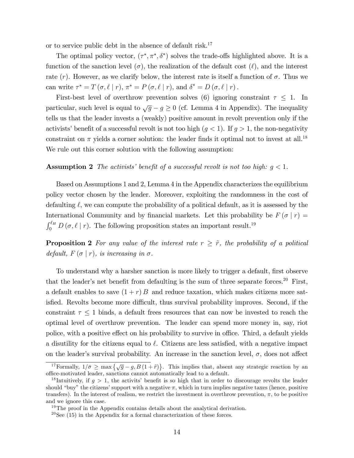or to service public debt in the absence of default risk.<sup>17</sup>

The optimal policy vector,  $(\tau^*, \pi^*, \delta^*)$  solves the trade-offs highlighted above. It is a function of the sanction level  $(\sigma)$ , the realization of the default cost  $(\ell)$ , and the interest rate  $(r)$ . However, as we clarify below, the interest rate is itself a function of  $\sigma$ . Thus we can write  $\tau^* = T(\sigma, \ell | r), \pi^* = P(\sigma, \ell | r),$  and  $\delta^* = D(\sigma, \ell | r)$ .

First-best level of overthrow prevention solves (6) ignoring constraint  $\tau \leq 1$ . In particular, such level is equal to  $\sqrt{g} - g \ge 0$  (cf. Lemma 4 in Appendix). The inequality tells us that the leader invests a (weakly) positive amount in revolt prevention only if the activists' benefit of a successful revolt is not too high  $(g < 1)$ . If  $g > 1$ , the non-negativity constraint on  $\pi$  yields a corner solution: the leader finds it optimal not to invest at all.<sup>18</sup> We rule out this corner solution with the following assumption:

#### **Assumption 2** The activists' benefit of a successful revolt is not too high:  $g < 1$ .

Based on Assumptions 1 and 2, Lemma 4 in the Appendix characterizes the equilibrium policy vector chosen by the leader. Moreover, exploiting the randomness in the cost of defaulting  $\ell$ , we can compute the probability of a political default, as it is assessed by the International Community and by financial markets. Let this probability be  $F(\sigma | r) =$  $\int_0^{\ell_H} D(\sigma, \ell \mid r)$ . The following proposition states an important result.<sup>19</sup>

**Proposition 2** For any value of the interest rate  $r \geq \tilde{r}$ , the probability of a political default,  $F(\sigma | r)$ , is increasing in  $\sigma$ .

To understand why a harsher sanction is more likely to trigger a default, first observe that the leader's net benefit from defaulting is the sum of three separate forces.<sup>20</sup> First, a default enables to save  $(1 + r)B$  and reduce taxation, which makes citizens more satisfied. Revolts become more difficult, thus survival probability improves. Second, if the constraint  $\tau \leq 1$  binds, a default frees resources that can now be invested to reach the optimal level of overthrow prevention. The leader can spend more money in, say, riot police, with a positive effect on his probability to survive in office. Third, a default yields a disutility for the citizens equal to  $\ell$ . Citizens are less satisfied, with a negative impact on the leader's survival probability. An increase in the sanction level,  $\sigma$ , does not affect

<sup>&</sup>lt;sup>17</sup>Formally,  $1/\bar{\sigma} \ge \max \left\{ \sqrt{g} - g, B(1 + \tilde{r}) \right\}$ . This implies that, absent any strategic reaction by an office-motivated leader, sanctions cannot automatically lead to a default.

<sup>&</sup>lt;sup>18</sup>Intuitively, if  $g > 1$ , the activits' benefit is so high that in order to discourage revolts the leader should "buy" the citizens' support with a negative  $\pi$ , which in turn implies negative taxes (hence, positive transfers). In the interest of realism, we restrict the investment in overthrow prevention,  $\pi$ , to be positive and we ignore this case.

 $19$ The proof in the Appendix contains details about the analytical derivation.

 $20$ See (15) in the Appendix for a formal characterization of these forces.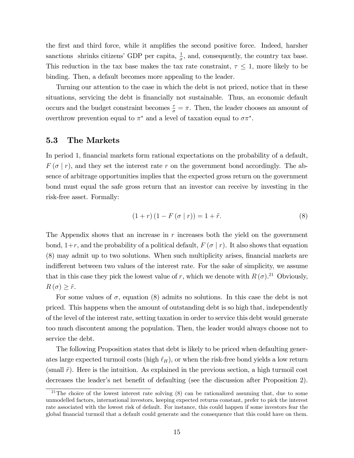the first and third force, while it amplifies the second positive force. Indeed, harsher sanctions shrinks citizens' GDP per capita,  $\frac{1}{\sigma}$ , and, consequently, the country tax base. This reduction in the tax base makes the tax rate constraint,  $\tau \leq 1$ , more likely to be binding. Then, a default becomes more appealing to the leader.

Turning our attention to the case in which the debt is not priced, notice that in these situations, servicing the debt is financially not sustainable. Thus, an economic default occurs and the budget constraint becomes  $\frac{\tau}{\sigma} = \pi$ . Then, the leader chooses an amount of over throw prevention equal to  $\pi^*$  and a level of taxation equal to  $\sigma \pi^*$ .

## 5.3 The Markets

In period 1, financial markets form rational expectations on the probability of a default,  $F(\sigma | r)$ , and they set the interest rate r on the government bond accordingly. The absence of arbitrage opportunities implies that the expected gross return on the government bond must equal the safe gross return that an investor can receive by investing in the risk-free asset. Formally:

$$
(1+r)(1 - F(\sigma | r)) = 1 + \tilde{r}.
$$
\n(8)

The Appendix shows that an increase in  $r$  increases both the yield on the government bond,  $1+r$ , and the probability of a political default,  $F(\sigma | r)$ . It also shows that equation (8) may admit up to two solutions. When such multiplicity arises, Önancial markets are indifferent between two values of the interest rate. For the sake of simplicity, we assume that in this case they pick the lowest value of r, which we denote with  $R(\sigma)$ <sup>21</sup> Obviously,  $R(\sigma) \geq \tilde{r}.$ 

For some values of  $\sigma$ , equation (8) admits no solutions. In this case the debt is not priced. This happens when the amount of outstanding debt is so high that, independently of the level of the interest rate, setting taxation in order to service this debt would generate too much discontent among the population. Then, the leader would always choose not to service the debt.

The following Proposition states that debt is likely to be priced when defaulting generates large expected turmoil costs (high  $\ell_H$ ), or when the risk-free bond yields a low return (small  $\tilde{r}$ ). Here is the intuition. As explained in the previous section, a high turmoil cost decreases the leader's net benefit of defaulting (see the discussion after Proposition 2).

<sup>&</sup>lt;sup>21</sup>The choice of the lowest interest rate solving  $(8)$  can be rationalized assuming that, due to some unmodelled factors, international investors, keeping expected returns constant, prefer to pick the interest rate associated with the lowest risk of default. For instance, this could happen if some investors fear the global Önancial turmoil that a default could generate and the consequence that this could have on them.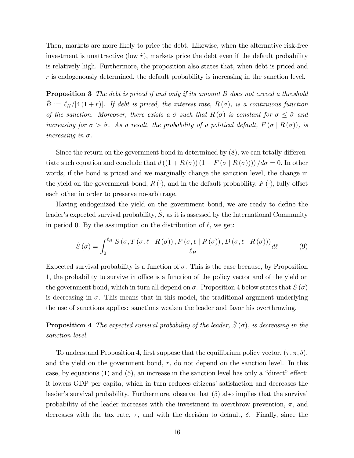Then, markets are more likely to price the debt. Likewise, when the alternative risk-free investment is unattractive (low  $\tilde{r}$ ), markets price the debt even if the default probability is relatively high. Furthermore, the proposition also states that, when debt is priced and  $r$  is endogenously determined, the default probability is increasing in the sanction level.

**Proposition 3** The debt is priced if and only if its amount B does not exceed a threshold  $\bar{B} := \ell_H/[4 (1 + \tilde{r})]$ . If debt is priced, the interest rate,  $R(\sigma)$ , is a continuous function of the sanction. Moreover, there exists a  $\hat{\sigma}$  such that  $R (\sigma)$  is constant for  $\sigma \leq \hat{\sigma}$  and increasing for  $\sigma > \hat{\sigma}$ . As a result, the probability of a political default,  $F(\sigma | R(\sigma))$ , is increasing in  $\sigma$ .

Since the return on the government bond in determined by  $(8)$ , we can totally differentiate such equation and conclude that  $d((1 + R(\sigma))(1 - F(\sigma | R(\sigma))))/d\sigma = 0$ . In other words, if the bond is priced and we marginally change the sanction level, the change in the yield on the government bond,  $R(\cdot)$ , and in the default probability,  $F(\cdot)$ , fully offset each other in order to preserve no-arbitrage.

Having endogenized the yield on the government bond, we are ready to define the leader's expected survival probability,  $\hat{S}$ , as it is assessed by the International Community in period 0. By the assumption on the distribution of  $\ell$ , we get:

$$
\hat{S}(\sigma) = \int_0^{\ell_H} \frac{S(\sigma, T(\sigma, \ell \mid R(\sigma)), P(\sigma, \ell \mid R(\sigma)), D(\sigma, \ell \mid R(\sigma)))}{\ell_H} d\ell \tag{9}
$$

Expected survival probability is a function of  $\sigma$ . This is the case because, by Proposition 1, the probability to survive in office is a function of the policy vector and of the yield on the government bond, which in turn all depend on  $\sigma$ . Proposition 4 below states that  $S(\sigma)$ is decreasing in  $\sigma$ . This means that in this model, the traditional argument underlying the use of sanctions applies: sanctions weaken the leader and favor his overthrowing.

**Proposition 4** The expected survival probability of the leader,  $\hat{S}(\sigma)$ , is decreasing in the sanction level.

To understand Proposition 4, first suppose that the equilibrium policy vector,  $(\tau, \pi, \delta)$ , and the yield on the government bond,  $r$ , do not depend on the sanction level. In this case, by equations  $(1)$  and  $(5)$ , an increase in the sanction level has only a "direct" effect: it lowers GDP per capita, which in turn reduces citizens' satisfaction and decreases the leader's survival probability. Furthermore, observe that  $(5)$  also implies that the survival probability of the leader increases with the investment in overthrow prevention,  $\pi$ , and decreases with the tax rate,  $\tau$ , and with the decision to default,  $\delta$ . Finally, since the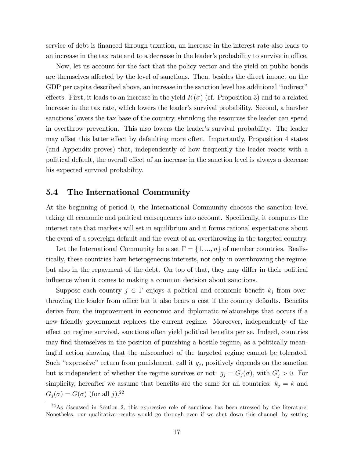service of debt is Önanced through taxation, an increase in the interest rate also leads to an increase in the tax rate and to a decrease in the leader's probability to survive in office.

Now, let us account for the fact that the policy vector and the yield on public bonds are themselves affected by the level of sanctions. Then, besides the direct impact on the GDP per capita described above, an increase in the sanction level has additional "indirect" effects. First, it leads to an increase in the yield  $R(\sigma)$  (cf. Proposition 3) and to a related increase in the tax rate, which lowers the leader's survival probability. Second, a harsher sanctions lowers the tax base of the country, shrinking the resources the leader can spend in overthrow prevention. This also lowers the leader's survival probability. The leader may offset this latter effect by defaulting more often. Importantly, Proposition 4 states (and Appendix proves) that, independently of how frequently the leader reacts with a political default, the overall effect of an increase in the sanction level is always a decrease his expected survival probability.

## 5.4 The International Community

At the beginning of period 0, the International Community chooses the sanction level taking all economic and political consequences into account. Specifically, it computes the interest rate that markets will set in equilibrium and it forms rational expectations about the event of a sovereign default and the event of an overthrowing in the targeted country.

Let the International Community be a set  $\Gamma = \{1, ..., n\}$  of member countries. Realistically, these countries have heterogeneous interests, not only in overthrowing the regime, but also in the repayment of the debt. On top of that, they may differ in their political influence when it comes to making a common decision about sanctions.

Suppose each country  $j \in \Gamma$  enjoys a political and economic benefit  $k_j$  from overthrowing the leader from office but it also bears a cost if the country defaults. Benefits derive from the improvement in economic and diplomatic relationships that occurs if a new friendly government replaces the current regime. Moreover, independently of the effect on regime survival, sanctions often yield political benefits per se. Indeed, countries may find themselves in the position of punishing a hostile regime, as a politically meaningful action showing that the misconduct of the targeted regime cannot be tolerated. Such "expressive" return from punishment, call it  $g_j$ , positively depends on the sanction but is independent of whether the regime survives or not:  $g_j = G_j(\sigma)$ , with  $G'_j > 0$ . For simplicity, hereafter we assume that benefits are the same for all countries:  $k_j = k$  and  $G_j(\sigma) = G(\sigma)$  (for all j).<sup>22</sup>

 $22\text{As}$  discussed in Section 2, this expressive role of sanctions has been stressed by the literature. Nonethelss, our qualitative results would go through even if we shut down this channel, by setting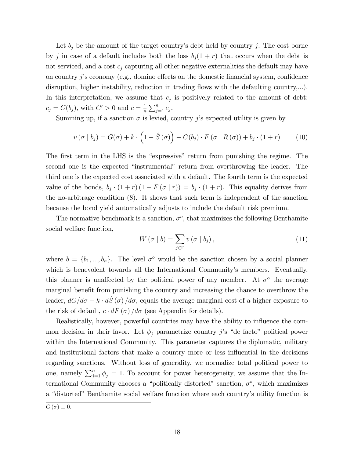Let  $b_j$  be the amount of the target country's debt held by country j. The cost borne by j in case of a default includes both the loss  $b_j(1 + r)$  that occurs when the debt is not serviced, and a cost  $c_i$  capturing all other negative externalities the default may have on country  $j$ 's economy (e.g., domino effects on the domestic financial system, confidence disruption, higher instability, reduction in trading flows with the defaulting country,...). In this interpretation, we assume that  $c_j$  is positively related to the amount of debt:  $c_j = C(b_j)$ , with  $C' > 0$  and  $\bar{c} = \frac{1}{n}$  $\frac{1}{n} \sum_{j=1}^n c_j$ .

Summing up, if a sanction  $\sigma$  is levied, country j's expected utility is given by

$$
v(\sigma | b_j) = G(\sigma) + k \cdot \left(1 - \hat{S}(\sigma)\right) - C(b_j) \cdot F(\sigma | R(\sigma)) + b_j \cdot (1 + \tilde{r}) \tag{10}
$$

The first term in the LHS is the "expressive" return from punishing the regime. The second one is the expected "instrumental" return from overthrowing the leader. The third one is the expected cost associated with a default. The fourth term is the expected value of the bonds,  $b_j \cdot (1+r) (1 - F(\sigma | r)) = b_j \cdot (1+\tilde{r})$ . This equality derives from the no-arbitrage condition (8). It shows that such term is independent of the sanction because the bond yield automatically adjusts to include the default risk premium.

The normative benchmark is a sanction,  $\sigma^o$ , that maximizes the following Benthamite social welfare function,

$$
W\left(\sigma \mid b\right) = \sum_{j \in \Gamma} v\left(\sigma \mid b_j\right),\tag{11}
$$

where  $b = \{b_1, ..., b_n\}$ . The level  $\sigma^o$  would be the sanction chosen by a social planner which is benevolent towards all the International Community's members. Eventually, this planner is unaffected by the political power of any member. At  $\sigma^o$  the average marginal benefit from punishing the country and increasing the chance to overthrow the leader,  $dG/d\sigma = k \cdot d\hat{S} (\sigma) / d\sigma$ , equals the average marginal cost of a higher exposure to the risk of default,  $\bar{c} \cdot dF(\sigma) / d\sigma$  (see Appendix for details).

Realistically, however, powerful countries may have the ability to influence the common decision in their favor. Let  $\phi_i$  parametrize country j's "de facto" political power within the International Community. This parameter captures the diplomatic, military and institutional factors that make a country more or less influential in the decisions regarding sanctions. Without loss of generality, we normalize total political power to one, namely  $\sum_{j=1}^{n} \phi_j = 1$ . To account for power heterogeneity, we assume that the International Community chooses a "politically distorted" sanction,  $\sigma^*$ , which maximizes a "distorted" Benthamite social welfare function where each country's utility function is

 $G(\sigma) \equiv 0.$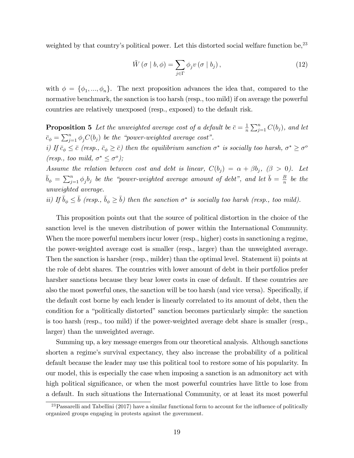weighted by that country's political power. Let this distorted social welfare function be,  $2<sup>3</sup>$ 

$$
\tilde{W}(\sigma | b, \phi) = \sum_{j \in \Gamma} \phi_j v(\sigma | b_j), \qquad (12)
$$

with  $\phi = {\phi_1, ..., \phi_n}$ . The next proposition advances the idea that, compared to the normative benchmark, the sanction is too harsh (resp., too mild) if on average the powerful countries are relatively unexposed (resp., exposed) to the default risk.

**Proposition 5** Let the unweighted average cost of a default be  $\bar{c} = \frac{1}{n}$  $\frac{1}{n} \sum_{j=1}^{n} C(b_j)$ , and let  $\bar{c}_{\phi} = \sum_{j=1}^{n} \phi_j C(b_j)$  be the "power-weighted average cost". i) If  $\bar{c}_{\phi} \leq \bar{c}$  (resp.,  $\bar{c}_{\phi} \geq \bar{c}$ ) then the equilibrium sanction  $\sigma^*$  is socially too harsh,  $\sigma^* \geq \sigma^o$ (resp., too mild,  $\sigma^* \leq \sigma^o$ ); Assume the relation between cost and debt is linear,  $C(b_j) = \alpha + \beta b_j$ ,  $(\beta > 0)$ . Let  $\bar{b}_{\phi} = \sum_{j=1}^{n} \phi_j b_j$  be the "power-weighted average amount of debt", and let  $\bar{b} = \frac{B}{n}$ 

 $\frac{B}{n}$  be the unweighted average.

ii) If  $\bar{b}_{\phi} \leq \bar{b}$  (resp.,  $\bar{b}_{\phi} \geq \bar{b}$ ) then the sanction  $\sigma^*$  is socially too harsh (resp., too mild).

This proposition points out that the source of political distortion in the choice of the sanction level is the uneven distribution of power within the International Community. When the more powerful members incur lower (resp., higher) costs in sanctioning a regime, the power-weighted average cost is smaller (resp., larger) than the unweighted average. Then the sanction is harsher (resp., milder) than the optimal level. Statement ii) points at the role of debt shares. The countries with lower amount of debt in their portfolios prefer harsher sanctions because they bear lower costs in case of default. If these countries are also the most powerful ones, the sanction will be too harsh (and vice versa). Specifically, if the default cost borne by each lender is linearly correlated to its amount of debt, then the condition for a "politically distorted" sanction becomes particularly simple: the sanction is too harsh (resp., too mild) if the power-weighted average debt share is smaller (resp., larger) than the unweighted average.

Summing up, a key message emerges from our theoretical analysis. Although sanctions shorten a regime's survival expectancy, they also increase the probability of a political default because the leader may use this political tool to restore some of his popularity. In our model, this is especially the case when imposing a sanction is an admonitory act with high political significance, or when the most powerful countries have little to lose from a default. In such situations the International Community, or at least its most powerful

 $^{23}$ Passarelli and Tabellini (2017) have a similar functional form to account for the influence of politically organized groups engaging in protests against the government.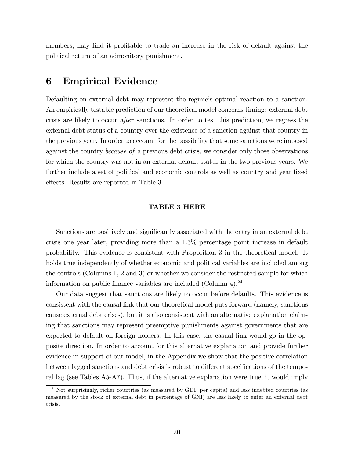members, may find it profitable to trade an increase in the risk of default against the political return of an admonitory punishment.

## 6 Empirical Evidence

Defaulting on external debt may represent the regime's optimal reaction to a sanction. An empirically testable prediction of our theoretical model concerns timing: external debt crisis are likely to occur after sanctions. In order to test this prediction, we regress the external debt status of a country over the existence of a sanction against that country in the previous year. In order to account for the possibility that some sanctions were imposed against the country because of a previous debt crisis, we consider only those observations for which the country was not in an external default status in the two previous years. We further include a set of political and economic controls as well as country and year fixed effects. Results are reported in Table 3.

#### TABLE 3 HERE

Sanctions are positively and significantly associated with the entry in an external debt crisis one year later, providing more than a 1.5% percentage point increase in default probability. This evidence is consistent with Proposition 3 in the theoretical model. It holds true independently of whether economic and political variables are included among the controls (Columns 1, 2 and 3) or whether we consider the restricted sample for which information on public finance variables are included (Column 4).<sup>24</sup>

Our data suggest that sanctions are likely to occur before defaults. This evidence is consistent with the causal link that our theoretical model puts forward (namely, sanctions cause external debt crises), but it is also consistent with an alternative explanation claiming that sanctions may represent preemptive punishments against governments that are expected to default on foreign holders. In this case, the casual link would go in the opposite direction. In order to account for this alternative explanation and provide further evidence in support of our model, in the Appendix we show that the positive correlation between lagged sanctions and debt crisis is robust to different specifications of the temporal lag (see Tables A5-A7). Thus, if the alternative explanation were true, it would imply

 $24$ Not surprisingly, richer countries (as measured by GDP per capita) and less indebted countries (as measured by the stock of external debt in percentage of GNI) are less likely to enter an external debt crisis.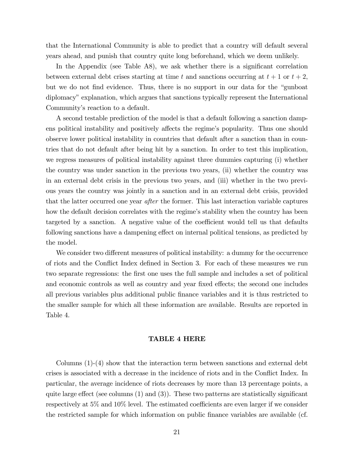that the International Community is able to predict that a country will default several years ahead, and punish that country quite long beforehand, which we deem unlikely.

In the Appendix (see Table A8), we ask whether there is a significant correlation between external debt crises starting at time t and sanctions occurring at  $t + 1$  or  $t + 2$ , but we do not find evidence. Thus, there is no support in our data for the "gunboat" diplomacy" explanation, which argues that sanctions typically represent the International Community's reaction to a default.

A second testable prediction of the model is that a default following a sanction dampens political instability and positively affects the regime's popularity. Thus one should observe lower political instability in countries that default after a sanction than in countries that do not default after being hit by a sanction. In order to test this implication, we regress measures of political instability against three dummies capturing (i) whether the country was under sanction in the previous two years, (ii) whether the country was in an external debt crisis in the previous two years, and (iii) whether in the two previous years the country was jointly in a sanction and in an external debt crisis, provided that the latter occurred one year *after* the former. This last interaction variable captures how the default decision correlates with the regime's stability when the country has been targeted by a sanction. A negative value of the coefficient would tell us that defaults following sanctions have a dampening effect on internal political tensions, as predicted by the model.

We consider two different measures of political instability: a dummy for the occurrence of riots and the Conflict Index defined in Section 3. For each of these measures we run two separate regressions: the first one uses the full sample and includes a set of political and economic controls as well as country and year fixed effects; the second one includes all previous variables plus additional public Önance variables and it is thus restricted to the smaller sample for which all these information are available. Results are reported in Table 4.

#### TABLE 4 HERE

Columns (1)-(4) show that the interaction term between sanctions and external debt crises is associated with a decrease in the incidence of riots and in the Conflict Index. In particular, the average incidence of riots decreases by more than 13 percentage points, a quite large effect (see columns  $(1)$  and  $(3)$ ). These two patterns are statistically significant respectively at  $5\%$  and  $10\%$  level. The estimated coefficients are even larger if we consider the restricted sample for which information on public finance variables are available (cf.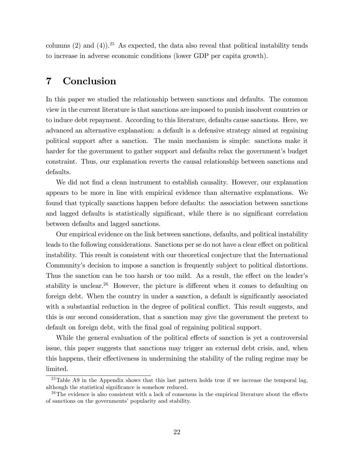columns (2) and (4)).<sup>25</sup> As expected, the data also reveal that political instability tends to increase in adverse economic conditions (lower GDP per capita growth).

## 7 Conclusion

In this paper we studied the relationship between sanctions and defaults. The common view in the current literature is that sanctions are imposed to punish insolvent countries or to induce debt repayment. According to this literature, defaults cause sanctions. Here, we advanced an alternative explanation: a default is a defensive strategy aimed at regaining political support after a sanction. The main mechanism is simple: sanctions make it harder for the government to gather support and defaults relax the government's budget constraint. Thus, our explanation reverts the causal relationship between sanctions and defaults.

We did not find a clean instrument to establish causality. However, our explanation appears to be more in line with empirical evidence than alternative explanations. We found that typically sanctions happen before defaults: the association between sanctions and lagged defaults is statistically significant, while there is no significant correlation between defaults and lagged sanctions.

Our empirical evidence on the link between sanctions, defaults, and political instability leads to the following considerations. Sanctions per se do not have a clear effect on political instability. This result is consistent with our theoretical conjecture that the International Community's decision to impose a sanction is frequently subject to political distortions. Thus the sanction can be too harsh or too mild. As a result, the effect on the leader's stability is unclear.<sup>26</sup> However, the picture is different when it comes to defaulting on foreign debt. When the country in under a sanction, a default is significantly associated with a substantial reduction in the degree of political conflict. This result suggests, and this is our second consideration, that a sanction may give the government the pretext to default on foreign debt, with the final goal of regaining political support.

While the general evaluation of the political effects of sanction is yet a controversial issue, this paper suggests that sanctions may trigger an external debt crisis, and, when this happens, their effectiveness in undermining the stability of the ruling regime may be limited.

<sup>&</sup>lt;sup>25</sup>Table A9 in the Appendix shows that this last pattern holds true if we increase the temporal lag, although the statistical significance is somehow reduced.

 $26$ The evidence is also consistent with a lack of consensus in the empirical literature about the effects of sanctions on the governments' popularity and stability.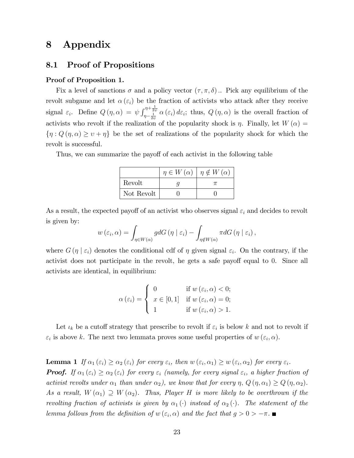## 8 Appendix

## 8.1 Proof of Propositions

#### Proof of Proposition 1.

Fix a level of sanctions  $\sigma$  and a policy vector  $(\tau, \pi, \delta)$ . Pick any equilibrium of the revolt subgame and let  $\alpha(\varepsilon_i)$  be the fraction of activists who attack after they receive signal  $\varepsilon_i$ . Define  $Q(\eta, \alpha) = \psi \int_{\eta - \frac{1}{2\psi}}^{\eta + \frac{1}{2\psi}} \alpha(\varepsilon_i) d\varepsilon_i$ ; thus,  $Q(\eta, \alpha)$  is the overall fraction of activists who revolt if the realization of the popularity shock is  $\eta$ . Finally, let  $W(\alpha)$  $\{\eta: Q(\eta,\alpha)\geq \nu+\eta\}$  be the set of realizations of the popularity shock for which the revolt is successful.

Thus, we can summarize the payoff of each activist in the following table

|            | $\eta \in W(\alpha)$ | $\eta \notin W(\alpha)$ |
|------------|----------------------|-------------------------|
| Revolt     |                      |                         |
| Not Revolt |                      |                         |

As a result, the expected payoff of an activist who observes signal  $\varepsilon_i$  and decides to revolt is given by:

$$
w(\varepsilon_i, \alpha) = \int_{\eta \in W(\alpha)} g dG(\eta \mid \varepsilon_i) - \int_{\eta \notin W(\alpha)} \pi dG(\eta \mid \varepsilon_i),
$$

where  $G(\eta \mid \varepsilon_i)$  denotes the conditional cdf of  $\eta$  given signal  $\varepsilon_i$ . On the contrary, if the activist does not participate in the revolt, he gets a safe payoff equal to 0. Since all activists are identical, in equilibrium:

$$
\alpha(\varepsilon_i) = \begin{cases} 0 & \text{if } w(\varepsilon_i, \alpha) < 0; \\ x \in [0, 1] & \text{if } w(\varepsilon_i, \alpha) = 0; \\ 1 & \text{if } w(\varepsilon_i, \alpha) > 1. \end{cases}
$$

Let  $\iota_k$  be a cutoff strategy that prescribe to revolt if  $\varepsilon_i$  is below k and not to revolt if  $\varepsilon_i$  is above k. The next two lemmata proves some useful properties of  $w(\varepsilon_i, \alpha)$ .

**Lemma 1** If  $\alpha_1(\varepsilon_i) \geq \alpha_2(\varepsilon_i)$  for every  $\varepsilon_i$ , then  $w(\varepsilon_i, \alpha_1) \geq w(\varepsilon_i, \alpha_2)$  for every  $\varepsilon_i$ . **Proof.** If  $\alpha_1 (\varepsilon_i) \geq \alpha_2 (\varepsilon_i)$  for every  $\varepsilon_i$  (namely, for every signal  $\varepsilon_i$ , a higher fraction of activist revolts under  $\alpha_1$  than under  $\alpha_2$ ), we know that for every  $\eta$ ,  $Q(\eta, \alpha_1) \ge Q(\eta, \alpha_2)$ . As a result,  $W(\alpha_1) \supseteq W(\alpha_2)$ . Thus, Player H is more likely to be overthrown if the revolting fraction of activists is given by  $\alpha_1(\cdot)$  instead of  $\alpha_2(\cdot)$ . The statement of the lemma follows from the definition of  $w(\varepsilon_i, \alpha)$  and the fact that  $g > 0 > -\pi$ .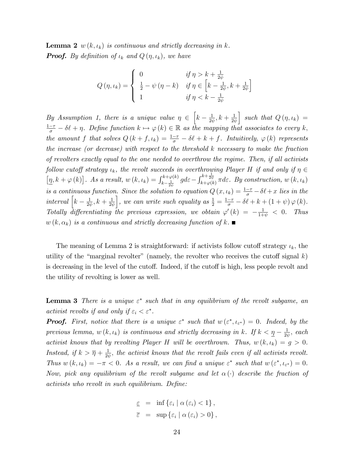**Lemma 2**  $w(k, \iota_k)$  is continuous and strictly decreasing in k. **Proof.** By definition of  $\iota_k$  and  $Q(\eta, \iota_k)$ , we have

$$
Q(\eta, \iota_k) = \begin{cases} 0 & \text{if } \eta > k + \frac{1}{2\psi} \\ \frac{1}{2} - \psi(\eta - k) & \text{if } \eta \in \left[k - \frac{1}{2\psi}, k + \frac{1}{2\psi}\right] \\ 1 & \text{if } \eta < k - \frac{1}{2\psi} \end{cases}
$$

By Assumption 1, there is a unique value  $\eta \in \left[k - \frac{1}{2},\right]$  $\frac{1}{2\psi},k+\frac{1}{2\psi}$  $2\psi$  $\Big\}$  such that  $Q(\eta,\iota_k) =$  $\frac{1-\tau}{\sigma} - \delta\ell + \eta$ . Define function  $k \mapsto \varphi(k) \in \mathbb{R}$  as the mapping that associates to every k, the amount f that solves  $Q(k+f, \iota_k) = \frac{1-\tau}{\sigma} - \delta\ell + k + f$ . Intuitively,  $\varphi(k)$  represents the increase (or decrease) with respect to the threshold k necessary to make the fraction of revolters exactly equal to the one needed to overthrow the regime. Then, if all activists follow cutoff strategy  $\iota_k$ , the revolt succeeds in overthrowing Player H if and only if  $\eta \in$  $\left[\underline{\eta},k+\varphi\left(k\right)\right]$ . As a result,  $w\left(k,\iota_{k}\right)=\int_{k-\frac{1}{2\psi}}^{k+\varphi\left(k\right)}gd\varepsilon-\int_{k+\varphi\left(k\right)}^{k+\frac{1}{2\psi}}\pi d\varepsilon$ . By construction,  $w\left(k,\iota_{k}\right)$ is a continuous function. Since the solution to equation  $Q(x, \iota_k) = \frac{1-\tau}{\sigma} - \delta\ell + x$  lies in the interval  $\Big[ k - \frac{1}{2k} \Big]$  $\frac{1}{2\psi},k+\frac{1}{2\psi}$  $2\psi$ , we can write such equality as  $\frac{1}{2} = \frac{1-\tau}{\sigma} - \delta \ell + k + (1+\psi) \varphi (k)$ . Totally differentiating the previous expression, we obtain  $\varphi'(k) = -\frac{1}{1+\psi} < 0$ . Thus  $w(k, \alpha_k)$  is a continuous and strictly decreasing function of k.

The meaning of Lemma 2 is straightforward: if activists follow cutoff strategy  $\iota_k$ , the utility of the "marginal revolter" (namely, the revolter who receives the cutoff signal k) is decreasing in the level of the cutoff. Indeed, if the cutoff is high, less people revolt and the utility of revolting is lower as well.

**Lemma 3** There is a unique  $\varepsilon^*$  such that in any equilibrium of the revolt subgame, an activist revolts if and only if  $\varepsilon_i < \varepsilon^*$ .

**Proof.** First, notice that there is a unique  $\varepsilon^*$  such that  $w(\varepsilon^*, \iota_{\varepsilon^*}) = 0$ . Indeed, by the previous lemma,  $w(k, \iota_k)$  is continuous and strictly decreasing in k. If  $k < \underline{\eta} - \frac{1}{2k}$  $\frac{1}{2\psi}$ , each activist knows that by revolting Player H will be overthrown. Thus,  $w(k, \iota_k) = g > 0$ . Instead, if  $k > \overline{\eta} + \frac{1}{2i}$  $\frac{1}{2\psi}$ , the activist knows that the revolt fails even if all activists revolt. Thus  $w(k, \iota_k) = -\pi < 0$ . As a result, we can find a unique  $\varepsilon^*$  such that  $w(\varepsilon^*, \iota_{\varepsilon^*}) = 0$ . Now, pick any equilibrium of the revolt subgame and let  $\alpha(\cdot)$  describe the fraction of activists who revolt in such equilibrium. Define:

$$
\underline{\varepsilon} = \inf \{ \varepsilon_i \mid \alpha (\varepsilon_i) < 1 \},
$$
  

$$
\overline{\varepsilon} = \sup \{ \varepsilon_i \mid \alpha (\varepsilon_i) > 0 \},
$$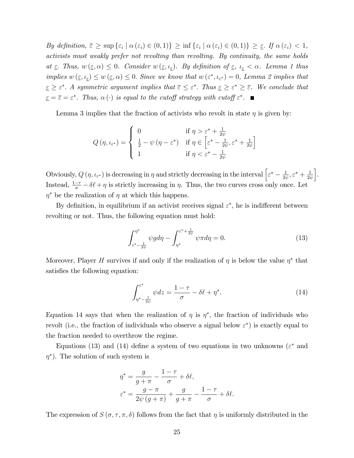By definition,  $\overline{\varepsilon} \ge \sup \{\varepsilon_i \mid \alpha (\varepsilon_i) \in (0,1)\}\ge \inf \{\varepsilon_i \mid \alpha (\varepsilon_i) \in (0,1)\}\ge \underline{\varepsilon}$ . If  $\alpha (\varepsilon_i) < 1$ , activists must weakly prefer not revolting than revolting. By continuity, the same holds at  $\underline{\varepsilon}$ . Thus,  $w(\underline{\varepsilon}, \alpha) \leq 0$ . Consider  $w(\underline{\varepsilon}, \iota_{\underline{\varepsilon}})$ . By definition of  $\underline{\varepsilon}$ ,  $\iota_{\underline{\varepsilon}} < \alpha$ . Lemma 1 thus implies  $w(\underline{\varepsilon}, \iota_{\underline{\varepsilon}}) \leq w(\underline{\varepsilon}, \alpha) \leq 0$ . Since we know that  $w(\varepsilon^*, \iota_{\varepsilon^*}) = 0$ , Lemma 2 implies that  $\underline{\varepsilon} \geq \varepsilon^*$ . A symmetric argument implies that  $\overline{\varepsilon} \leq \varepsilon^*$ . Thus  $\underline{\varepsilon} \geq \varepsilon^* \geq \overline{\varepsilon}$ . We conclude that  $\underline{\varepsilon} = \overline{\varepsilon} = \varepsilon^*$ . Thus,  $\alpha(\cdot)$  is equal to the cutoff strategy with cutoff  $\varepsilon^*$ .

Lemma 3 implies that the fraction of activists who revolt in state  $\eta$  is given by:

$$
Q(\eta, \iota_{\varepsilon^*}) = \begin{cases} 0 & \text{if } \eta > \varepsilon^* + \frac{1}{2\psi} \\ \frac{1}{2} - \psi(\eta - \varepsilon^*) & \text{if } \eta \in \left[\varepsilon^* - \frac{1}{2\psi}, \varepsilon^* + \frac{1}{2\psi}\right] \\ 1 & \text{if } \eta < \varepsilon^* - \frac{1}{2\psi} \end{cases}
$$

Obviously,  $Q(\eta, \iota_{\varepsilon^*})$  is decreasing in  $\eta$  and strictly decreasing in the interval  $\Big[\varepsilon^* - \frac{1}{2\eta}\Big]$  $\frac{1}{2\psi}, \varepsilon^* + \frac{1}{2\psi}$  $2\psi$ i . Instead,  $\frac{1-\tau}{\sigma} - \delta\ell + \eta$  is strictly increasing in  $\eta$ . Thus, the two curves cross only once. Let  $\eta^*$  be the realization of  $\eta$  at which this happens.

By definition, in equilibrium if an activist receives signal  $\varepsilon^*$ , he is indifferent between revolting or not. Thus, the following equation must hold:

$$
\int_{\varepsilon^* - \frac{1}{2\psi}}^{\eta^*} \psi g d\eta - \int_{\eta^*}^{\varepsilon^* + \frac{1}{2\psi}} \psi \pi d\eta = 0.
$$
 (13)

Moreover, Player H survives if and only if the realization of  $\eta$  is below the value  $\eta^*$  that satisfies the following equation:

$$
\int_{\eta^* - \frac{1}{2\psi}}^{\varepsilon^*} \psi dz = \frac{1 - \tau}{\sigma} - \delta \ell + \eta^*.
$$
 (14)

Equation 14 says that when the realization of  $\eta$  is  $\eta^*$ , the fraction of individuals who revolt (i.e., the fraction of individuals who observe a signal below  $\varepsilon^*$ ) is exactly equal to the fraction needed to overthrow the regime.

Equations (13) and (14) define a system of two equations in two unknowns ( $\varepsilon^*$  and  $\eta^*$ ). The solution of such system is

$$
\eta^* = \frac{g}{g + \pi} - \frac{1 - \tau}{\sigma} + \delta \ell,
$$
  

$$
\varepsilon^* = \frac{g - \pi}{2\psi (g + \pi)} + \frac{g}{g + \pi} - \frac{1 - \tau}{\sigma} + \delta \ell.
$$

The expression of  $S(\sigma, \tau, \pi, \delta)$  follows from the fact that  $\eta$  is uniformly distributed in the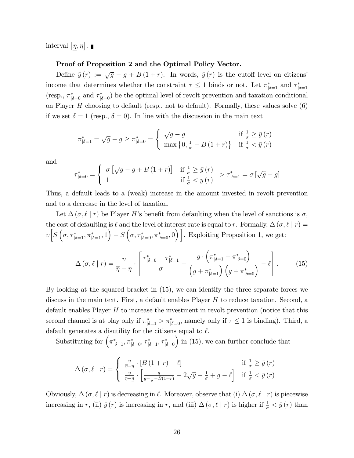interval  $[\eta, \overline{\eta}]$ .

#### Proof of Proposition 2 and the Optimal Policy Vector.

Define  $\bar{y}(r) := \sqrt{g} - g + B(1 + r)$ . In words,  $\bar{y}(r)$  is the cutoff level on citizens' income that determines whether the constraint  $\tau \leq 1$  binds or not. Let  $\pi^*_{\vert \delta=1}$  and  $\tau^*_{\vert \delta=1}$ (resp.,  $\pi_{\vert \delta=0}^*$  and  $\tau_{\vert \delta=0}^*$ ) be the optimal level of revolt prevention and taxation conditional on Player  $H$  choosing to default (resp., not to default). Formally, these values solve  $(6)$ if we set  $\delta = 1$  (resp.,  $\delta = 0$ ). In line with the discussion in the main text

$$
\pi_{|\delta=1}^{*} = \sqrt{g} - g \ge \pi_{|\delta=0}^{*} = \begin{cases} \sqrt{g} - g & \text{if } \frac{1}{\sigma} \ge \bar{y}(r) \\ \max\left\{0, \frac{1}{\sigma} - B(1+r)\right\} & \text{if } \frac{1}{\sigma} < \bar{y}(r) \end{cases}
$$

and

$$
\tau_{|\delta=0}^{*} = \begin{cases} \sigma \left[ \sqrt{g} - g + B(1+r) \right] & \text{if } \frac{1}{\sigma} \ge \bar{y}(r) \\ 1 & \text{if } \frac{1}{\sigma} < \bar{y}(r) \end{cases} > \tau_{|\delta=1}^{*} = \sigma \left[ \sqrt{g} - g \right]
$$

Thus, a default leads to a (weak) increase in the amount invested in revolt prevention and to a decrease in the level of taxation.

Let  $\Delta(\sigma, \ell \mid r)$  be Player H's benefit from defaulting when the level of sanctions is  $\sigma$ . the cost of defaulting is  $\ell$  and the level of interest rate is equal to r. Formally,  $\Delta(\sigma, \ell | r) =$  $v\Big[S\left(\sigma, \tau^*_{|\delta=1}, \pi^*_{|\delta=1}, 1\right) - S\left(\sigma, \tau^*_{|\delta=0}, \pi^*_{|\delta=0}, 0\right)\Big]$ . Exploiting Proposition 1, we get:

$$
\Delta\left(\sigma,\ell\mid r\right) = \frac{\upsilon}{\overline{\eta}-\underline{\eta}} \cdot \left[\frac{\tau_{\lvert \delta=0}^{*}-\tau_{\lvert \delta=1}^{*}}{\sigma} + \frac{g \cdot \left(\pi_{\lvert \delta=1}^{*}-\pi_{\lvert \delta=0}^{*}\right)}{\left(g + \pi_{\lvert \delta=1}^{*}\right)\left(g + \pi_{\lvert \delta=0}^{*}\right)} - \ell\right].\tag{15}
$$

By looking at the squared bracket in (15), we can identify the three separate forces we discuss in the main text. First, a default enables Player  $H$  to reduce taxation. Second, a default enables Player  $H$  to increase the investment in revolt prevention (notice that this second channel is at play only if  $\pi_{\vert \delta=1}^* > \pi_{\vert \delta=0}^*$ , namely only if  $\tau \leq 1$  is binding). Third, a default generates a disutility for the citizens equal to  $\ell$ .

Substituting for  $(\pi_{|\delta=1}^*, \pi_{|\delta=0}^*, \tau_{|\delta=1}^*, \tau_{|\delta=0}^*)$  in (15), we can further conclude that

$$
\Delta(\sigma, \ell \mid r) = \begin{cases} \frac{v}{\overline{\eta} - \underline{\eta}} \cdot [B(1+r) - \ell] & \text{if } \frac{1}{\sigma} \ge \overline{y}(r) \\ \frac{v}{\overline{\eta} - \underline{\eta}} \cdot \left[ \frac{g}{g + \frac{1}{\sigma} - B(1+r)} - 2\sqrt{g} + \frac{1}{\sigma} + g - \ell \right] & \text{if } \frac{1}{\sigma} < \overline{y}(r) \end{cases}
$$

Obviously,  $\Delta(\sigma, \ell | r)$  is decreasing in  $\ell$ . Moreover, observe that (i)  $\Delta(\sigma, \ell | r)$  is piecewise increasing in r, (ii)  $\bar{y}(r)$  is increasing in r, and (iii)  $\Delta(\sigma, \ell | r)$  is higher if  $\frac{1}{\sigma} < \bar{y}(r)$  than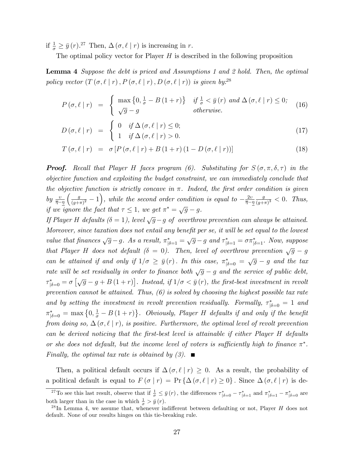if  $\frac{1}{\sigma} \geq \bar{y}(r).^{27}$  Then,  $\Delta(\sigma, \ell | r)$  is increasing in r.

The optimal policy vector for Player  $H$  is described in the following proposition

**Lemma 4** Suppose the debt is priced and Assumptions 1 and 2 hold. Then, the optimal policy vector  $(T(\sigma, \ell | r), P(\sigma, \ell | r), D(\sigma, \ell | r))$  is given by:<sup>28</sup>

$$
P(\sigma, \ell \mid r) = \begin{cases} \max\left\{0, \frac{1}{\sigma} - B(1+r)\right\} & \text{if } \frac{1}{\sigma} < \bar{y}(r) \text{ and } \Delta(\sigma, \ell \mid r) \le 0; \\ \sqrt{g} - g & \text{otherwise.} \end{cases}
$$
(16)

$$
D(\sigma, \ell \mid r) = \begin{cases} 0 & \text{if } \Delta(\sigma, \ell \mid r) \leq 0; \\ 1 & \text{if } \Delta(\sigma, \ell \mid r) > 0. \end{cases}
$$
 (17)

$$
T(\sigma, \ell \mid r) = \sigma [P(\sigma, \ell \mid r) + B(1+r) (1 - D(\sigma, \ell \mid r))]
$$
\n(18)

**Proof.** Recall that Player H faces program (6). Substituting for  $S(\sigma, \pi, \delta, \tau)$  in the objective function and exploiting the budget constraint, we can immediately conclude that the objective function is strictly concave in  $\pi$ . Indeed, the first order condition is given by  $\frac{v}{\overline{\eta}-\underline{\eta}}$  $\int g$  $\frac{g}{(g+\pi)^2} - 1$ , while the second order condition is equal to  $-\frac{2v}{\overline{\eta}-2}$  $\overline{\eta}-\underline{\eta}$ g  $\frac{g}{(g+\pi)^3} < 0$ . Thus, if we ignore the fact that  $\tau \leq 1$ , we get  $\pi^* = \sqrt{g} - g$ .

If Player H defaults  $(\delta = 1)$ , level  $\sqrt{g} - g$  of overthrow prevention can always be attained. Moreover, since taxation does not entail any benefit per se, it will be set equal to the lowest value that finances  $\sqrt{g} - g$ . As a result,  $\pi_{|\delta=1}^* = \sqrt{g} - g$  and  $\tau_{|\delta=1}^* = \sigma \pi_{|\delta=1}^*$ . Now, suppose that Player H does not default ( $\delta = 0$ ). Then, level of overthrow prevention  $\sqrt{g} - g$ can be attained if and only if  $1/\sigma \geq \bar{y}(r)$ . In this case,  $\pi^*_{|\delta=0} = \sqrt{g} - g$  and the tax rate will be set residually in order to finance both  $\sqrt{g} - g$  and the service of public debt,  $\tau_{|\delta=0}^* = \sigma \left[ \sqrt{g} - g + B(1+r) \right]$ . Instead, if  $1/\sigma < \bar{y}(r)$ , the first-best investment in revolt prevention cannot be attained. Thus,  $(6)$  is solved by choosing the highest possible tax rate and by setting the investment in revolt prevention residually. Formally,  $\tau_{\vert \delta = 0}^* = 1$  and  $\pi_{|\delta=0}^* = \max\left\{0, \frac{1}{\sigma} - B(1+r)\right\}$ . Obviously, Player H defaults if and only if the benefit from doing so,  $\Delta(\sigma, \ell \mid r)$ , is positive. Furthermore, the optimal level of revolt prevention can be derived noticing that the Örst-best level is attainable if either Player H defaults or she does not default, but the income level of voters is sufficiently high to finance  $\pi^*$ . Finally, the optimal tax rate is obtained by  $(3)$ .

Then, a political default occurs if  $\Delta(\sigma, \ell | r) \geq 0$ . As a result, the probability of a political default is equal to  $F(\sigma | r) = Pr \{ \Delta(\sigma, \ell | r) \ge 0 \}$ . Since  $\Delta(\sigma, \ell | r)$  is de-

<sup>&</sup>lt;sup>27</sup>To see this last result, observe that if  $\frac{1}{\sigma} \leq \bar{y}(r)$ , the differences  $\tau_{|\delta=0}^* - \tau_{|\delta=1}^*$  and  $\pi_{|\delta=1}^* - \pi_{|\delta=0}^*$  are both larger than in the case in which  $\frac{1}{\sigma} > \bar{y}(r)$ .

<sup>&</sup>lt;sup>28</sup>In Lemma 4, we assume that, whenever indifferent between defaulting or not, Player  $H$  does not default. None of our results hinges on this tie-breaking rule.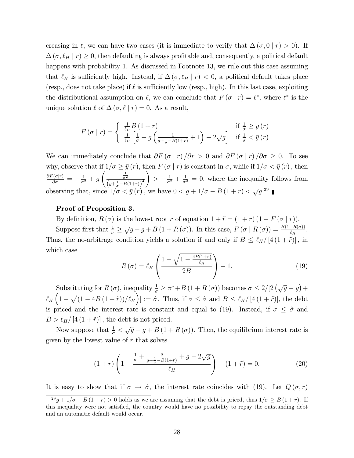creasing in  $\ell$ , we can have two cases (it is immediate to verify that  $\Delta(\sigma, 0 | r) > 0$ ). If  $\Delta(\sigma, \ell_H | r) \geq 0$ , then defaulting is always profitable and, consequently, a political default happens with probability 1. As discussed in Footnote 13, we rule out this case assuming that  $\ell_H$  is sufficiently high. Instead, if  $\Delta(\sigma, \ell_H | r) < 0$ , a political default takes place (resp., does not take place) if  $\ell$  is sufficiently low (resp., high). In this last case, exploiting the distributional assumption on  $\ell$ , we can conclude that  $F(\sigma | r) = \ell^*$ , where  $\ell^*$  is the unique solution  $\ell$  of  $\Delta (\sigma, \ell | r) = 0$ . As a result,

$$
F(\sigma | r) = \begin{cases} \frac{1}{\ell_H} B (1+r) & \text{if } \frac{1}{\sigma} \ge \bar{y}(r) \\ \frac{1}{\ell_H} \left[ \frac{1}{\sigma} + g \left( \frac{1}{g + \frac{1}{\sigma} - B(1+r)} + 1 \right) - 2\sqrt{g} \right] & \text{if } \frac{1}{\sigma} < \bar{y}(r) \end{cases}
$$

We can immediately conclude that  $\partial F(\sigma | r) / \partial r > 0$  and  $\partial F(\sigma | r) / \partial \sigma \geq 0$ . To see why, observe that if  $1/\sigma \ge \bar{y}(r)$ , then  $F(\sigma | r)$  is constant in  $\sigma$ , while if  $1/\sigma < \bar{y}(r)$ , then  $\frac{\partial F(\sigma|r)}{\partial \sigma} = -\frac{1}{\sigma^2} + g$  $\left(\frac{1}{\sigma^2}\right)$  $\sqrt{(g+\frac{1}{\sigma}-B(1+r))}^2$  $\overline{ }$  $> -\frac{1}{\sigma^2} + \frac{1}{\sigma^2} = 0$ , where the inequality follows from observing that, since  $1/\sigma < \bar{y}(r)$ , we have  $0 < g + 1/\sigma - B(1+r) < \sqrt{g}$ .<sup>29</sup>

#### Proof of Proposition 3.

By definition,  $R(\sigma)$  is the lowest root r of equation  $1 + \tilde{r} = (1 + r)(1 - F(\sigma | r)).$ Suppose first that  $\frac{1}{\sigma} \geq \sqrt{g} - g + B(1 + R(\sigma))$ . In this case,  $F(\sigma | R(\sigma)) = \frac{B(1 + R(\sigma))}{\ell_H}$ . Thus, the no-arbitrage condition yields a solution if and only if  $B \leq \ell_H/[4 (1 + \tilde{r})]$ , in which case

$$
R\left(\sigma\right) = \ell_H \left(\frac{1 - \sqrt{1 - \frac{4B(1+\tilde{r})}{\ell_H}}}{2B}\right) - 1. \tag{19}
$$

Substituting for  $R(\sigma)$ , inequality  $\frac{1}{\sigma} \geq \pi^* + B(1 + R(\sigma))$  becomes  $\sigma \leq 2/[2(\sqrt{g}-g)+$  $\ell_H\left(1-\sqrt{(1-4B(1+\tilde{r}))/\ell_H}\right) := \tilde{\sigma}$ . Thus, if  $\sigma \leq \tilde{\sigma}$  and  $B \leq \ell_H/[4(1+\tilde{r})]$ , the debt is priced and the interest rate is constant and equal to (19). Instead, if  $\sigma \leq \hat{\sigma}$  and  $B > \ell_H/ [4 (1 + \tilde{r})]$ , the debt is not priced.

Now suppose that  $\frac{1}{\sigma} < \sqrt{g} - g + B(1 + R(\sigma))$ . Then, the equilibrium interest rate is given by the lowest value of  $r$  that solves

$$
(1+r)\left(1-\frac{\frac{1}{\sigma}+\frac{g}{g+\frac{1}{\sigma}-B(1+r)}+g-2\sqrt{g}}{\ell_H}\right)-(1+\tilde{r})=0.
$$
 (20)

It is easy to show that if  $\sigma \to \hat{\sigma}$ , the interest rate coincides with (19). Let  $Q(\sigma, r)$ 

 $\frac{29g+1}{\sigma - B(1+r)} > 0$  holds as we are assuming that the debt is priced, thus  $1/\sigma \geq B(1+r)$ . If this inequality were not satisfied, the country would have no possibility to repay the outstanding debt and an automatic default would occur.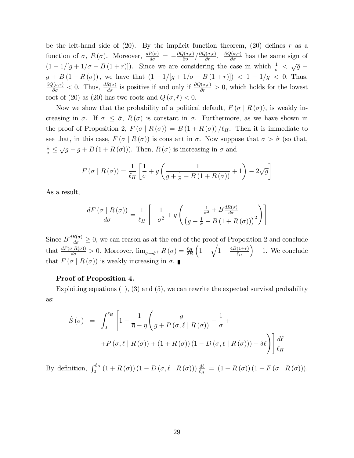be the left-hand side of (20). By the implicit function theorem, (20) defines r as a function of  $\sigma$ ,  $R(\sigma)$ . Moreover,  $\frac{dR(\sigma)}{d\sigma} = -\frac{\partial Q(\sigma,r)}{\partial \sigma}/\frac{\partial Q(\sigma,r)}{\partial r}$ .  $\frac{\partial Q(\sigma,r)}{\partial \sigma}$  has the same sign of  $(1 - 1/[g + 1/\sigma - B(1 + r)])$ . Since we are considering the case in which  $\frac{1}{\sigma} < \sqrt{g}$  $g + B(1 + R(\sigma))$ , we have that  $(1 - 1/[g + 1/\sigma - B(1 + r)]) < 1 - 1/g < 0$ . Thus,  $\frac{\partial Q(\sigma,r)}{\partial \sigma}$  < 0. Thus,  $\frac{dR(\sigma)}{d\sigma}$  is positive if and only if  $\frac{\partial Q(\sigma,r)}{\partial r} > 0$ , which holds for the lowest root of (20) as (20) has two roots and  $Q(\sigma, \tilde{r}) < 0$ .

Now we show that the probability of a political default,  $F(\sigma | R(\sigma))$ , is weakly increasing in  $\sigma$ . If  $\sigma \leq \hat{\sigma}$ ,  $R(\sigma)$  is constant in  $\sigma$ . Furthermore, as we have shown in the proof of Proposition 2,  $F(\sigma | R(\sigma)) = B(1 + R(\sigma))/\ell_H$ . Then it is immediate to see that, in this case,  $F(\sigma | R(\sigma))$  is constant in  $\sigma$ . Now suppose that  $\sigma > \hat{\sigma}$  (so that,  $\frac{1}{\sigma} \leq \sqrt{g} - g + B(1 + R(\sigma))$ . Then,  $R(\sigma)$  is increasing in  $\sigma$  and

$$
F\left(\sigma \mid R\left(\sigma\right)\right) = \frac{1}{\ell_H} \left[ \frac{1}{\sigma} + g\left(\frac{1}{g + \frac{1}{\sigma} - B\left(1 + R\left(\sigma\right)\right)} + 1\right) - 2\sqrt{g} \right]
$$

As a result,

$$
\frac{dF\left(\sigma \mid R\left(\sigma\right)\right)}{d\sigma} = \frac{1}{\ell_H} \left[ -\frac{1}{\sigma^2} + g \left( \frac{\frac{1}{\sigma^2} + B\frac{dR\left(\sigma\right)}{d\sigma}}{\left(g + \frac{1}{\sigma} - B\left(1 + R\left(\sigma\right)\right)\right)^2} \right) \right]
$$

Since  $B\frac{dR(\sigma)}{d\sigma} \geq 0$ , we can reason as at the end of the proof of Proposition 2 and conclude that  $\frac{dF(\sigma|R(\sigma))}{d\sigma} > 0$ . Moreover,  $\lim_{\sigma \to \hat{\sigma}^+} R(\sigma) = \frac{\ell_H}{2B}$  $\left(1-\sqrt{1-\frac{4B(1+\tilde{r})}{\ell_H}}\right)$  $\ell_H$  $-1.$  We conclude that  $F(\sigma | R(\sigma))$  is weakly increasing in  $\sigma$ .

#### Proof of Proposition 4.

Exploiting equations  $(1)$ ,  $(3)$  and  $(5)$ , we can rewrite the expected survival probability as:

$$
\hat{S}(\sigma) = \int_0^{\ell_H} \left[ 1 - \frac{1}{\overline{\eta} - \underline{\eta}} \left( \frac{g}{g + P(\sigma, \ell \mid R(\sigma))} - \frac{1}{\sigma} + \right. \right. \\ \left. + P(\sigma, \ell \mid R(\sigma)) + (1 + R(\sigma)) (1 - D(\sigma, \ell \mid R(\sigma))) + \delta \ell \right) \right] \frac{d\ell}{\ell_H}
$$

By definition,  $\int_0^{\ell_H} (1 + R(\sigma)) (1 - D(\sigma, \ell \mid R(\sigma))) \frac{d\ell}{\ell_H} = (1 + R(\sigma)) (1 - F(\sigma \mid R(\sigma))).$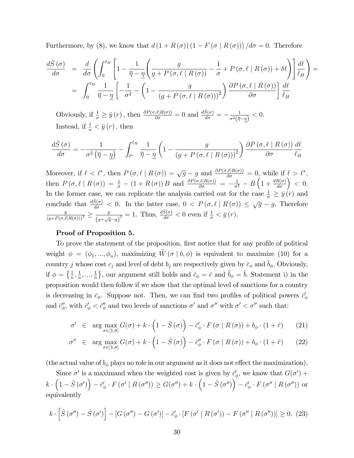Furthermore, by (8), we know that  $d(1 + R(\sigma))(1 - F(\sigma | R(\sigma))) / d\sigma = 0$ . Therefore

$$
\frac{d\hat{S}(\sigma)}{d\sigma} = \frac{d}{d\sigma} \left( \int_0^{\ell_H} \left[ 1 - \frac{1}{\overline{\eta} - \underline{\eta}} \left( \frac{g}{g + P(\sigma, \ell \mid R(\sigma))} - \frac{1}{\sigma} + P(\sigma, \ell \mid R(\sigma)) + \delta \ell \right) \right] \frac{d\ell}{\ell_H} \right) =
$$

$$
= \int_0^{\ell_H} \frac{1}{\overline{\eta} - \underline{\eta}} \left[ -\frac{1}{\sigma^2} - \left( 1 - \frac{g}{\left( g + P(\sigma, \ell \mid R(\sigma)) \right)^2} \right) \frac{\partial P(\sigma, \ell \mid R(\sigma))}{\partial \sigma} \right] \frac{d\ell}{\ell_H}
$$

Obviously, if  $\frac{1}{\sigma} \geq \bar{y}(r)$ , then  $\frac{\partial P(\sigma,\ell|R(\sigma))}{\partial \sigma} = 0$  and  $\frac{d\hat{S}(\sigma)}{d\sigma} = -\frac{1}{\sigma^2(\bar{\eta})}$  $\frac{1}{\sigma^2(\overline{\eta}-\underline{\eta})}<0.$ Instead, if  $\frac{1}{\sigma} < \bar{y}(r)$ , then

$$
\frac{d\hat{S}(\sigma)}{d\sigma} = -\frac{1}{\sigma^2(\overline{\eta}-\underline{\eta})} - \int_{\ell^*}^{\ell_H} \frac{1}{\overline{\eta}-\underline{\eta}} \left(1 - \frac{g}{\left(g + P\left(\sigma, \ell \mid R\left(\sigma\right)\right)\right)^2}\right) \frac{\partial P\left(\sigma, \ell \mid R\left(\sigma\right)\right)}{\partial \sigma} \frac{d\ell}{\ell_H}
$$

Moreover, if  $\ell < \ell^*$ , then  $P(\sigma, \ell \mid R(\sigma)) = \sqrt{g} - g$  and  $\frac{\partial P(\sigma, \ell | R(\sigma))}{\partial \sigma} = 0$ , while if  $\ell > \ell^*$ , then  $P(\sigma, \ell \mid R(\sigma)) = \frac{1}{\sigma} - (1 + R(\sigma))B$  and  $\frac{\partial P(\sigma, \ell | R(\sigma))}{\partial \sigma} = -\frac{1}{\sigma^2} - B\left(1 + \frac{dR(\sigma)}{d\sigma}\right) < 0.$ In the former case, we can replicate the analysis carried out for the case  $\frac{1}{\sigma} \geq \bar{y}(r)$  and conclude that  $\frac{d\hat{S}(\sigma)}{d\sigma} < 0$ . In the latter case,  $0 < P(\sigma, \ell \mid R(\sigma)) \leq \sqrt{g} - g$ . Therefore  $\frac{g}{(g+P(\sigma,\ell|R(\sigma)))^2} \geq \frac{g}{(g+\sqrt{\varepsilon})^2}$  $(g+\sqrt{g}-g)$  $\overline{z} = 1$ . Thus,  $\frac{d\hat{S}(\sigma)}{d\sigma} < 0$  even if  $\frac{1}{\sigma} < \overline{y}(r)$ .

#### Proof of Proposition 5.

To prove the statement of the proposition, first notice that for any profile of political weight  $\phi = (\phi_1, ..., \phi_n)$ , maximizing  $\tilde{W}(\sigma | b, \phi)$  is equivalent to maximize (10) for a country j whose cost  $c_j$  and level of debt  $b_j$  are respectively given by  $\bar{c}_{\phi}$  and  $\bar{b}_{\phi}$ . Obviously, if  $\phi = \left\{\frac{1}{n}, \frac{1}{n}\right\}$  $\frac{1}{n},...,\frac{1}{n}$  $\{\frac{1}{n}\}\$ , our argument still holds and  $\bar{c}_{\phi} = \bar{c}$  and  $\bar{b}_{\phi} = \bar{b}$ . Statement i) in the proposition would then follow if we show that the optimal level of sanctions for a country is decreasing in  $\bar{c}_{\phi}$ . Suppose not. Then, we can find two profiles of political powers  $\bar{c}'_{\phi}$ and  $\bar{c}'_{\phi}$ , with  $\bar{c}'_{\phi} < \bar{c}''_{\phi}$  and two levels of sanctions  $\sigma'$  and  $\sigma''$  with  $\sigma' < \sigma''$  such that:

$$
\sigma' \in \arg \max_{\sigma \in [1,\bar{\sigma}]} G(\sigma) + k \cdot \left(1 - \hat{S}(\sigma)\right) - \vec{c}'_{\phi} \cdot F(\sigma \mid R(\sigma)) + b_{\phi} \cdot (1 + \tilde{r}) \tag{21}
$$

$$
\sigma'' \in \arg \max_{\sigma \in [1,\bar{\sigma}]} G(\sigma) + k \cdot \left(1 - \hat{S}(\sigma)\right) - \bar{c}_{\phi}'' \cdot F(\sigma \mid R(\sigma)) + b_{\phi} \cdot (1 + \tilde{r}) \tag{22}
$$

(the actual value of  $b_{\phi}$  plays no role in our argument as it does not effect the maximization).

Since  $\sigma'$  is a maximand when the weighted cost is given by  $\bar{c}'_{\phi}$ , we know that  $G(\sigma')$  +  $k \cdot \left(1 - \hat{S}\left(\sigma'\right)\right) - \vec{c}'_{\phi} \cdot F\left(\sigma'\mid R\left(\sigma''\right)\right) \geq G(\sigma'') + k \cdot \left(1 - \hat{S}\left(\sigma''\right)\right) - \vec{c}'_{\phi} \cdot F\left(\sigma''\mid R\left(\sigma''\right)\right)$  or equivalently

$$
k \cdot \left[ \hat{S} \left( \sigma'' \right) - \hat{S} \left( \sigma' \right) \right] - \left[ G \left( \sigma'' \right) - G \left( \sigma' \right) \right] - \bar{c}'_{\phi} \cdot \left[ F \left( \sigma' \mid R \left( \sigma' \right) \right) - F \left( \sigma'' \mid R \left( \sigma'' \right) \right) \right] \ge 0. \tag{23}
$$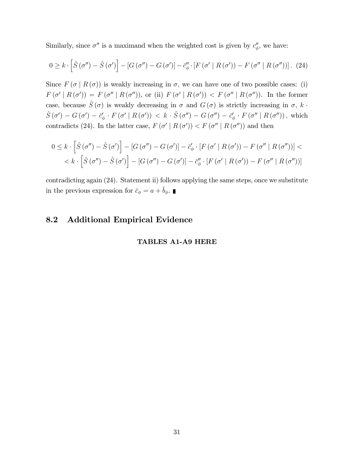Similarly, since  $\sigma''$  is a maximand when the weighted cost is given by  $c''_{\phi}$ , we have:

$$
0 \geq k \cdot \left[ \hat{S} \left( \sigma'' \right) - \hat{S} \left( \sigma' \right) \right] - \left[ G \left( \sigma'' \right) - G \left( \sigma' \right) \right] - \bar{c}_{\phi}'' \cdot \left[ F \left( \sigma' \mid R \left( \sigma' \right) \right) - F \left( \sigma'' \mid R \left( \sigma'' \right) \right) \right]. \tag{24}
$$

Since  $F(\sigma | R(\sigma))$  is weakly increasing in  $\sigma$ , we can have one of two possible cases: (i)  $F(\sigma' | R(\sigma')) = F(\sigma'' | R(\sigma''))$ , or (ii)  $F(\sigma' | R(\sigma')) < F(\sigma'' | R(\sigma''))$ . In the former case, because  $\hat{S}(\sigma)$  is weakly decreasing in  $\sigma$  and  $G(\sigma)$  is strictly increasing in  $\sigma$ , k.  $\hat{S}(\sigma') - G(\sigma') - \vec{c}_{\phi}' \cdot F(\sigma' \mid R(\sigma')) \, < \, k \cdot \hat{S}(\sigma'') - G(\sigma'') - \vec{c}_{\phi}' \cdot F(\sigma'' \mid R(\sigma''))$ , which contradicts (24). In the latter case,  $F(\sigma' | R(\sigma')) < F(\sigma'' | R(\sigma''))$  and then

$$
0 \leq k \cdot \left[ \hat{S}(\sigma'') - \hat{S}(\sigma') \right] - \left[ G(\sigma'') - G(\sigma') \right] - \bar{c}'_{\phi} \cdot \left[ F(\sigma' \mid R(\sigma')) - F(\sigma'' \mid R(\sigma'')) \right] < k \cdot \left[ \hat{S}(\sigma'') - \hat{S}(\sigma') \right] - \left[ G(\sigma'') - G(\sigma') \right] - \bar{c}''_{\phi} \cdot \left[ F(\sigma' \mid R(\sigma')) - F(\sigma'' \mid R(\sigma'')) \right]
$$

contradicting again (24). Statement ii) follows applying the same steps, once we substitute in the previous expression for  $\bar{c}_\phi = a + \bar{b}_\phi.$   $\blacksquare$ 

## 8.2 Additional Empirical Evidence

## TABLES A1-A9 HERE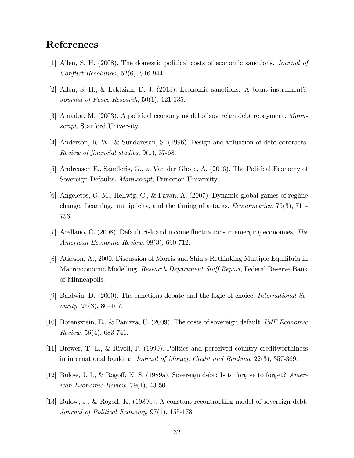## References

- [1] Allen, S. H. (2008). The domestic political costs of economic sanctions. Journal of Conflict Resolution,  $52(6)$ , 916-944.
- [2] Allen, S. H., & Lektzian, D. J. (2013). Economic sanctions: A blunt instrument?. Journal of Peace Research, 50(1), 121-135.
- [3] Amador, M. (2003). A political economy model of sovereign debt repayment. Manuscript, Stanford University.
- [4] Anderson, R. W., & Sundaresan, S. (1996). Design and valuation of debt contracts. Review of financial studies,  $9(1)$ , 37-68.
- [5] Andreasen E., Sandleris, G., & Van der Ghote, A. (2016). The Political Economy of Sovereign Defaults. Manuscript, Princeton University.
- [6] Angeletos, G. M., Hellwig, C., & Pavan, A. (2007). Dynamic global games of regime change: Learning, multiplicity, and the timing of attacks. Econometrica, 75(3), 711- 756.
- [7] Arellano, C. (2008). Default risk and income fluctuations in emerging economies. The American Economic Review, 98(3), 690-712.
- [8] Atkeson, A., 2000. Discussion of Morris and Shinís Rethinking Multiple Equilibria in Macroeconomic Modelling. *Research Department Staff Report*, Federal Reserve Bank of Minneapolis.
- [9] Baldwin, D. (2000). The sanctions debate and the logic of choice. International Se*curity*,  $24(3)$ ,  $80-107$ .
- [10] Borensztein, E., & Panizza, U. (2009). The costs of sovereign default. IMF Economic  $Review, 56(4), 683-741.$
- [11] Brewer, T. L., & Rivoli, P. (1990). Politics and perceived country creditworthiness in international banking. Journal of Money, Credit and Banking, 22(3), 357-369.
- [12] Bulow, J. I., & Rogoff, K. S. (1989a). Sovereign debt: Is to forgive to forget? American Economic Review, 79(1), 43-50.
- [13] Bulow, J., & Rogoff, K. (1989b). A constant recontracting model of sovereign debt. Journal of Political Economy, 97(1), 155-178.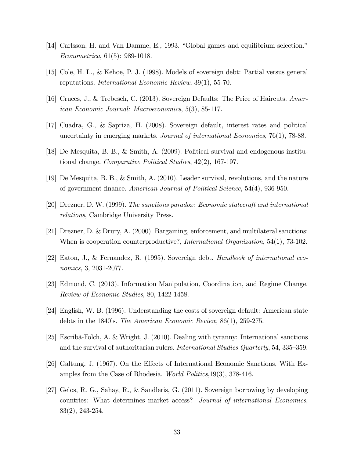- [14] Carlsson, H. and Van Damme, E., 1993. "Global games and equilibrium selection." Econometrica, 61(5): 989-1018.
- [15] Cole, H. L., & Kehoe, P. J. (1998). Models of sovereign debt: Partial versus general reputations. International Economic Review, 39(1), 55-70.
- [16] Cruces, J., & Trebesch, C. (2013). Sovereign Defaults: The Price of Haircuts. American Economic Journal: Macroeconomics, 5(3), 85-117.
- [17] Cuadra, G., & Sapriza, H. (2008). Sovereign default, interest rates and political uncertainty in emerging markets. Journal of international Economics, 76(1), 78-88.
- [18] De Mesquita, B. B., & Smith, A. (2009). Political survival and endogenous institutional change. Comparative Political Studies, 42(2), 167-197.
- [19] De Mesquita, B. B., & Smith, A. (2010). Leader survival, revolutions, and the nature of government Önance. American Journal of Political Science, 54(4), 936-950.
- [20] Drezner, D. W. (1999). The sanctions paradox: Economic statecraft and international relations, Cambridge University Press.
- [21] Drezner, D. & Drury, A. (2000). Bargaining, enforcement, and multilateral sanctions: When is cooperation counterproductive?, *International Organization*, 54(1), 73-102.
- [22] Eaton, J., & Fernandez, R. (1995). Sovereign debt. Handbook of international economics, 3, 2031-2077.
- [23] Edmond, C. (2013). Information Manipulation, Coordination, and Regime Change. Review of Economic Studies, 80, 1422-1458.
- [24] English, W. B. (1996). Understanding the costs of sovereign default: American state debts in the 1840's. The American Economic Review,  $86(1)$ ,  $259-275$ .
- [25] Escribà-Folch, A. & Wright, J. (2010). Dealing with tyranny: International sanctions and the survival of authoritarian rulers. *International Studies Quarterly*, 54, 335–359.
- [26] Galtung, J. (1967). On the Effects of International Economic Sanctions, With Examples from the Case of Rhodesia. World Politics,19(3), 378-416.
- [27] Gelos, R. G., Sahay, R., & Sandleris, G. (2011). Sovereign borrowing by developing countries: What determines market access? Journal of international Economics, 83(2), 243-254.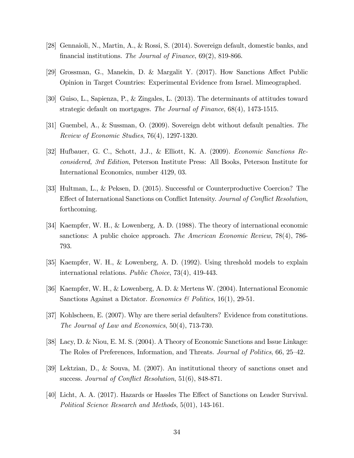- [28] Gennaioli, N., Martin, A., & Rossi, S. (2014). Sovereign default, domestic banks, and financial institutions. The Journal of Finance,  $69(2)$ , 819-866.
- [29] Grossman, G., Manekin, D. & Margalit Y. (2017). How Sanctions Affect Public Opinion in Target Countries: Experimental Evidence from Israel. Mimeographed.
- [30] Guiso, L., Sapienza, P., & Zingales, L. (2013). The determinants of attitudes toward strategic default on mortgages. The Journal of Finance, 68(4), 1473-1515.
- [31] Guembel, A., & Sussman, O. (2009). Sovereign debt without default penalties. The Review of Economic Studies, 76(4), 1297-1320.
- [32] Hufbauer, G. C., Schott, J.J., & Elliott, K. A. (2009). Economic Sanctions Reconsidered, 3rd Edition, Peterson Institute Press: All Books, Peterson Institute for International Economics, number 4129, 03.
- [33] Hultman, L., & Peksen, D. (2015). Successful or Counterproductive Coercion? The Effect of International Sanctions on Conflict Intensity. Journal of Conflict Resolution, forthcoming.
- [34] Kaempfer, W. H., & Lowenberg, A. D. (1988). The theory of international economic sanctions: A public choice approach. The American Economic Review, 78(4), 786- 793.
- [35] Kaempfer, W. H., & Lowenberg, A. D. (1992). Using threshold models to explain international relations. Public Choice, 73(4), 419-443.
- [36] Kaempfer, W. H., & Lowenberg, A. D. & Mertens W. (2004). International Economic Sanctions Against a Dictator. Economics & Politics, 16(1), 29-51.
- [37] Kohlscheen, E. (2007). Why are there serial defaulters? Evidence from constitutions. The Journal of Law and Economics, 50(4), 713-730.
- [38] Lacy, D. & Niou, E. M. S. (2004). A Theory of Economic Sanctions and Issue Linkage: The Roles of Preferences, Information, and Threats. Journal of Politics, 66, 25–42.
- [39] Lektzian, D., & Souva, M. (2007). An institutional theory of sanctions onset and success. Journal of Conflict Resolution,  $51(6)$ , 848-871.
- [40] Licht, A. A. (2017). Hazards or Hassles The Effect of Sanctions on Leader Survival. Political Science Research and Methods, 5(01), 143-161.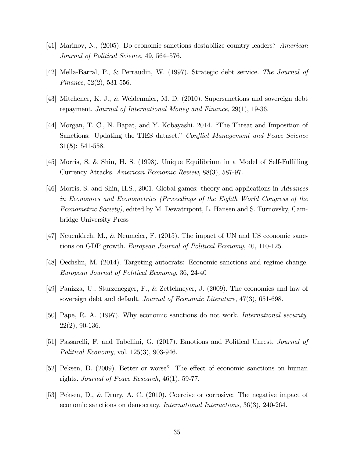- [41] Marinov, N., (2005). Do economic sanctions destabilize country leaders? American Journal of Political Science, 49, 564–576.
- [42] Mella-Barral, P., & Perraudin, W. (1997). Strategic debt service. The Journal of Finance,  $52(2)$ ,  $531-556$ .
- [43] Mitchener, K. J., & Weidenmier, M. D. (2010). Supersanctions and sovereign debt repayment. Journal of International Money and Finance, 29(1), 19-36.
- [44] Morgan, T. C., N. Bapat, and Y. Kobayashi. 2014. "The Threat and Imposition of Sanctions: Updating the TIES dataset." Conflict Management and Peace Science  $31(5): 541-558.$
- $[45]$  Morris, S. & Shin, H. S. (1998). Unique Equilibrium in a Model of Self-Fulfilling Currency Attacks. American Economic Review, 88(3), 587-97.
- [46] Morris, S. and Shin, H.S., 2001. Global games: theory and applications in Advances in Economics and Econometrics (Proceedings of the Eighth World Congress of the Econometric Society), edited by M. Dewatripont, L. Hansen and S. Turnovsky, Cambridge University Press
- [47] Neuenkirch, M., & Neumeier, F. (2015). The impact of UN and US economic sanctions on GDP growth. European Journal of Political Economy, 40, 110-125.
- [48] Oechslin, M. (2014). Targeting autocrats: Economic sanctions and regime change. European Journal of Political Economy, 36, 24-40
- [49] Panizza, U., Sturzenegger, F., & Zettelmeyer, J. (2009). The economics and law of sovereign debt and default. Journal of Economic Literature, 47(3), 651-698.
- [50] Pape, R. A. (1997). Why economic sanctions do not work. International security, 22(2), 90-136.
- [51] Passarelli, F. and Tabellini, G. (2017). Emotions and Political Unrest, Journal of Political Economy, vol. 125(3), 903-946.
- [52] Peksen, D. (2009). Better or worse? The effect of economic sanctions on human rights. Journal of Peace Research, 46(1), 59-77.
- [53] Peksen, D., & Drury, A. C. (2010). Coercive or corrosive: The negative impact of economic sanctions on democracy. International Interactions, 36(3), 240-264.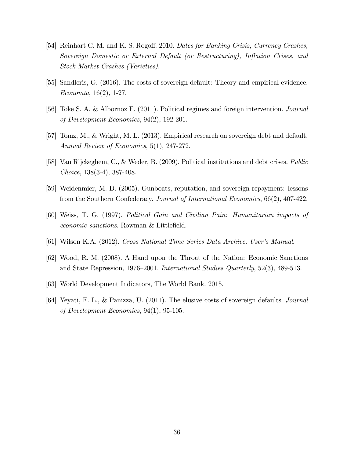- [54] Reinhart C. M. and K. S. Rogoff. 2010. Dates for Banking Crisis, Currency Crashes, Sovereign Domestic or External Default (or Restructuring), Inflation Crises, and Stock Market Crashes (Varieties).
- [55] Sandleris, G. (2016). The costs of sovereign default: Theory and empirical evidence.  $E_{\text{conom\'{u}}, 16(2), 1-27.$
- [56] Toke S. A. & Albornoz F. (2011). Political regimes and foreign intervention. Journal of Development Economics, 94(2), 192-201.
- [57] Tomz, M., & Wright, M. L. (2013). Empirical research on sovereign debt and default. Annual Review of Economics, 5(1), 247-272.
- [58] Van Rijckeghem, C., & Weder, B. (2009). Political institutions and debt crises. Public Choice, 138(3-4), 387-408.
- [59] Weidenmier, M. D. (2005). Gunboats, reputation, and sovereign repayment: lessons from the Southern Confederacy. Journal of International Economics, 66(2), 407-422.
- [60] Weiss, T. G. (1997). Political Gain and Civilian Pain: Humanitarian impacts of economic sanctions. Rowman & Littlefield.
- [61] Wilson K.A. (2012). Cross National Time Series Data Archive, Userís Manual.
- [62] Wood, R. M. (2008). A Hand upon the Throat of the Nation: Economic Sanctions and State Repression, 1976–2001. International Studies Quarterly, 52(3), 489-513.
- [63] World Development Indicators, The World Bank. 2015.
- [64] Yeyati, E. L., & Panizza, U. (2011). The elusive costs of sovereign defaults. Journal of Development Economics, 94(1), 95-105.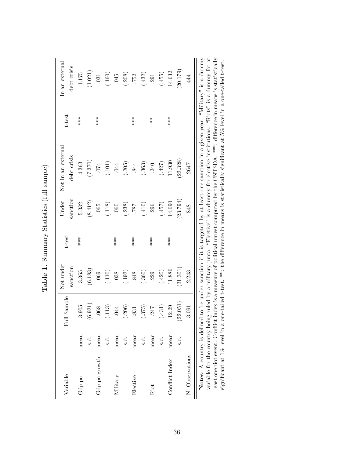| Variable                    |          | Sample<br>$_{\rm{Full}}$   | Not under | t-test   | Under    | Not in an external                                                                                     | t-test        | In an external |
|-----------------------------|----------|----------------------------|-----------|----------|----------|--------------------------------------------------------------------------------------------------------|---------------|----------------|
|                             |          |                            | sanction  |          | sanction | debt crisis                                                                                            |               | debt crisis    |
| Gdp pc                      | mean     | .905<br>S                  | 3.365     | $***$    | 5.332    | 4.363                                                                                                  | ***           | 1.175          |
|                             | s.d.     | .921)<br>$\widehat{\circ}$ | (6.183)   |          | (8.412)  | (7.370)                                                                                                |               | (1.021)        |
| Gdp pc growth               | mean     | .068                       | .069      |          | 065      | .074                                                                                                   | ***           | .031           |
|                             | s.d.     | (.113)                     | (.110)    |          | (.118)   | (101)                                                                                                  |               | (.160)         |
| Military                    | mean     | .044                       | .038      | $***$    | .060     | .044                                                                                                   |               | 045            |
|                             | s.d.     | (.206)                     | (.192)    |          | (.238)   | (.205)                                                                                                 |               | (.208)         |
| Elective                    | mean     | 831                        | .848      | $**\ast$ | 787      | .844                                                                                                   | $***$         | .752           |
|                             | s.d.     | (.375)                     | (.360)    |          | (.410)   | (.363)                                                                                                 |               | (.432)         |
| Riot                        | mean     | 247                        | 229       | $***$    | 296      | .240                                                                                                   | $\frac{*}{*}$ | 291            |
|                             | s.<br>s. | (.431)                     | (.420)    |          | (157)    | (.427)                                                                                                 |               | (.455)         |
| Conflict Index              | mean     | 2.29                       | 11.886    | $***$    | 14.690   | 11.930                                                                                                 | ***           | 14.632         |
|                             | s.d.     | (22.051)                   | (21.301)  |          | (23.794) | (22.328)                                                                                               |               | (20.179)       |
| N. Observations             |          | 3,091                      | 2,243     |          | 848      | 2647                                                                                                   |               | 44             |
| Notes: A country is defined |          |                            |           |          |          | to be under sanction if it is targeted by at least one sanction in a given year. "Military" is a dummy |               |                |

Table 1. Summary Statistics (full sample) Table 1. Summary Statistics (full sample)

A consider the country being ruled by a military junta. "Elective" is a dummy for elective institutions. "Riots" is a dummy for a least one riot event. Conflict index is a measure of political unrest computed by the CNTSD Notes: A country is defined to be under sanction if it is targeted by at least one sanction in a given year. "Military" is a dummy least one riot event. Conflict index is a measure of political unrest computed by the CNTSDA. \*\*\*: difference in means is statistically variable for the country being ruled by a military junta. "Elective" is a dummy for elective institutions. "Riots" is a dummy for at significant at 1% level in a one-tailed t-test. \*\*: the difference in means is statistically significant at 5% level in a one-tailed t-test.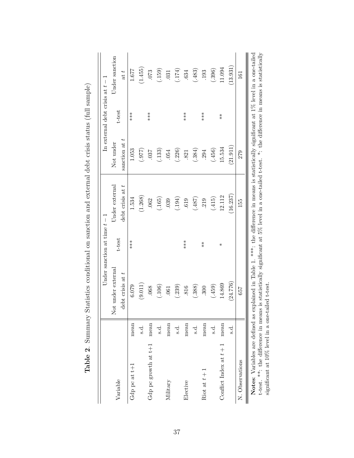|                                 |      |                                                                                                                                                  | Under sanction at time $t - 1$ |                                                                                                                 |               | In external debt crisis at $t-1$ |                |
|---------------------------------|------|--------------------------------------------------------------------------------------------------------------------------------------------------|--------------------------------|-----------------------------------------------------------------------------------------------------------------|---------------|----------------------------------|----------------|
| Variable                        |      | ot under external<br>Ž                                                                                                                           | t-test                         | Jnder external                                                                                                  | Not under     | t-test                           | Under sanction |
|                                 |      | $\det$ crisis at $t$                                                                                                                             |                                | $\det$ crisis at $t$                                                                                            | sanction at t |                                  | at t           |
| Gdp pc at t+1                   | mean | 6.079                                                                                                                                            | $***$                          | 1.534                                                                                                           | 1.053         | $***$                            | 1.677          |
|                                 | ್ತ:  | (9.011)                                                                                                                                          |                                | (1.268)                                                                                                         | (779)         |                                  | (1.455)        |
| Gdp pc growth at $t+1$          | mean | .068                                                                                                                                             |                                | .062                                                                                                            | .037          | ***                              | 073            |
|                                 | ್ರ.  | (.106)                                                                                                                                           |                                | (165)                                                                                                           | (.133)        |                                  | (.159)         |
| Military                        | mean | .061                                                                                                                                             |                                | .039                                                                                                            | .054          |                                  | 031            |
|                                 | નું  | (.239)                                                                                                                                           |                                | (194)                                                                                                           | (.226)        |                                  | (174)          |
| Elective                        | mean | 816                                                                                                                                              | $***$                          | .619                                                                                                            | .821          | $***$                            | .634           |
|                                 | s.d. | (.388)                                                                                                                                           |                                | (784)                                                                                                           | (.384)        |                                  | (.483)         |
| Riot at $t+1$                   | mean | $\overline{300}$                                                                                                                                 | $\frac{*}{*}$                  | 219                                                                                                             | 294           | ***                              | 193            |
|                                 | s.d. | (.459)                                                                                                                                           |                                | (.415)                                                                                                          | (.456)        |                                  | (.396)         |
| Conflict Index at $t+1$         | mean | 14.869                                                                                                                                           | $\ast$                         | 12.112                                                                                                          | 15.534        | $\frac{*}{*}$                    | 11.094         |
|                                 | s.d  | (24.776)                                                                                                                                         |                                | (16.237)                                                                                                        | (21.911)      |                                  | (13.931)       |
| N. Observations                 |      | 657                                                                                                                                              |                                | 155                                                                                                             | 279           |                                  | 161            |
| Notes: Variables are defined as |      | t-test. **: the difference in means is statistically significant at 5% level in a one-tailed t-test. *: the difference in means is statistically |                                | explained in Table 1. ****; the difference in means is statistically significant at $1\%$ level in a one-tailed |               |                                  |                |

Table 2. Summary Statistics conditional on sanction and external debt crisis status (full sample) Table 2. Summary Statistics conditional on sanction and external debt crisis status (full sample)

37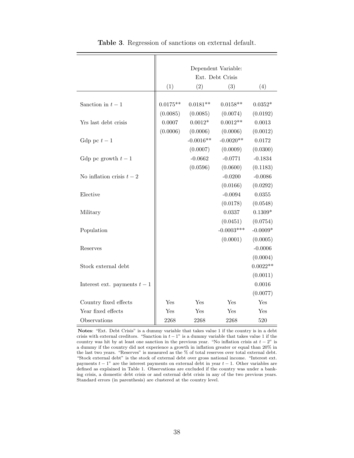|                              |            |             | Dependent Variable: |            |
|------------------------------|------------|-------------|---------------------|------------|
|                              |            |             | Ext. Debt Crisis    |            |
|                              | (1)        | (2)         | (3)                 | (4)        |
|                              |            |             |                     |            |
| Sanction in $t-1$            | $0.0175**$ | $0.0181**$  | $0.0158**$          | $0.0352*$  |
|                              | (0.0085)   | (0.0085)    | (0.0074)            | (0.0192)   |
| Yrs last debt crisis         | 0.0007     | $0.0012*$   | $0.0012**$          | 0.0013     |
|                              | (0.0006)   | (0.0006)    | (0.0006)            | (0.0012)   |
| Gdp pc $t-1$                 |            | $-0.0016**$ | $-0.0020**$         | 0.0172     |
|                              |            | (0.0007)    | (0.0009)            | (0.0300)   |
| Gdp pc growth $t-1$          |            | $-0.0662$   | $-0.0771$           | $-0.1834$  |
|                              |            | (0.0596)    | (0.0600)            | (0.1183)   |
| No inflation crisis $t-2$    |            |             | $-0.0200$           | $-0.0086$  |
|                              |            |             | (0.0166)            | (0.0292)   |
| Elective                     |            |             | $-0.0094$           | 0.0355     |
|                              |            |             | (0.0178)            | (0.0548)   |
| Military                     |            |             | 0.0337              | $0.1309*$  |
|                              |            |             | (0.0451)            | (0.0754)   |
| Population                   |            |             | $-0.0003***$        | $-0.0009*$ |
|                              |            |             | (0.0001)            | (0.0005)   |
| Reserves                     |            |             |                     | $-0.0006$  |
|                              |            |             |                     | (0.0004)   |
| Stock external debt          |            |             |                     | $0.0022**$ |
|                              |            |             |                     | (0.0011)   |
| Interest ext. payments $t-1$ |            |             |                     | 0.0016     |
|                              |            |             |                     | (0.0077)   |
| Country fixed effects        | Yes        | Yes         | Yes                 | Yes        |
| Year fixed effects           | Yes        | Yes         | Yes                 | Yes        |
| Observations                 | 2268       | 2268        | 2268                | 520        |

Table 3. Regression of sanctions on external default.

Notes: "Ext. Debt Crisis" is a dummy variable that takes value 1 if the country is in a debt crisis with external creditors. "Sanction in  $t - 1$ " is a dummy variable that takes value 1 if the country was hit by at least one sanction in the previous year. "No inflation crisis at  $t - 2$ " is a dummy if the country did not experience a growth in inflation greater or equal than 20% in the last two years. "Reserves" is measured as the  $\%$  of total reserves over total external debt. "Stock external debt" is the stock of external debt over gross national income. "Interest ext. payments  $t - 1$ " are the interest payments on external debt in year  $t - 1$ . Other variables are defined as explained in Table 1. Observations are excluded if the country was under a banking crisis, a domestic debt crisis or and external debt crisis in any of the two previous years. Standard errors (in parenthesis) are clustered at the country level.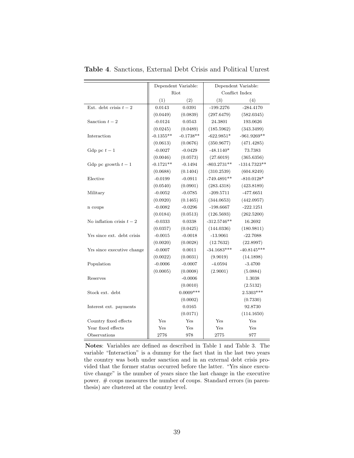|                            |             | Dependent Variable: |               | Dependent Variable: |
|----------------------------|-------------|---------------------|---------------|---------------------|
|                            |             | Riot                |               | Conflict Index      |
|                            | (1)         | (2)                 | (3)           | (4)                 |
| Ext. debt crisis $t-2$     | 0.0143      | 0.0391              | $-199.2276$   | $-284.4170$         |
|                            | (0.0449)    | (0.0839)            | (297.6479)    | (582.0345)          |
| Sanction $t-2$             | $-0.0124$   | 0.0543              | 24.3801       | 193.0626            |
|                            | (0.0245)    | (0.0489)            | (185.5962)    | (343.3499)          |
| Interaction                | $-0.1355**$ | $-0.1738**$         | $-622.9851*$  | $-961.9269**$       |
|                            | (0.0613)    | (0.0676)            | (350.9677)    | (471.4285)          |
| Gdp pc $t-1$               | $-0.0027$   | $-0.0429$           | $-48.1140*$   | 73.7383             |
|                            | (0.0046)    | (0.0573)            | (27.6019)     | (365.6356)          |
| Gdp pc growth $t-1$        | $-0.1721**$ | $-0.1494$           | $-803.2731**$ | $-1314.7323**$      |
|                            | (0.0688)    | (0.1404)            | (310.2539)    | (604.8249)          |
| Elective                   | $-0.0199$   | $-0.0911$           | $-749.4891**$ | $-810.0128*$        |
|                            | (0.0540)    | (0.0901)            | (283.4318)    | (423.8189)          |
| Military                   | $-0.0052$   | $-0.0785$           | $-209.5711$   | $-477.6651$         |
|                            | (0.0920)    | (0.1465)            | (344.0653)    | (442.0957)          |
| n coups                    | $-0.0082$   | $-0.0296$           | $-198.6667$   | $-222.1251$         |
|                            | (0.0184)    | (0.0513)            | (126.5693)    | (262.5200)          |
| No inflation crisis $t-2$  | $-0.0333$   | 0.0338              | $-312.5746**$ | 16.2692             |
|                            | (0.0357)    | (0.0425)            | (144.0336)    | (180.9811)          |
| Yrs since ext. debt crisis | $-0.0015$   | $-0.0018$           | $-13.9061$    | $-22.7088$          |
|                            | (0.0020)    | (0.0028)            | (12.7632)     | (22.8997)           |
| Yrs since executive change | $-0.0007$   | 0.0011              | $-34.1683***$ | $-40.8145***$       |
|                            | (0.0022)    | (0.0031)            | (9.9019)      | (14.1898)           |
| Population                 | $-0.0006$   | $-0.0007$           | $-4.0594$     | $-3.4700$           |
|                            | (0.0005)    | (0.0008)            | (2.9001)      | (5.0884)            |
| Reserves                   |             | $-0.0006$           |               | 1.3038              |
|                            |             | (0.0010)            |               | (2.5132)            |
| Stock ext. debt            |             | $0.0009***$         |               | 2.5303***           |
|                            |             | (0.0002)            |               | (0.7330)            |
| Interest ext. payments     |             | 0.0165              |               | 92.8730             |
|                            |             | (0.0171)            |               | (114.1650)          |
| Country fixed effects      | Yes         | Yes                 | Yes           | Yes                 |
| Year fixed effects         | Yes         | Yes                 | Yes           | Yes                 |
| Observations               | 2776        | 978                 | 2775          | 977                 |

Table 4. Sanctions, External Debt Crisis and Political Unrest

Notes: Variables are defined as described in Table 1 and Table 3. The variable "Interaction" is a dummy for the fact that in the last two years the country was both under sanction and in an external debt crisis provided that the former status occurred before the latter. "Yrs since executive change" is the number of years since the last change in the executive power. # coups measures the number of coups. Standard errors (in parenthesis) are clustered at the country level.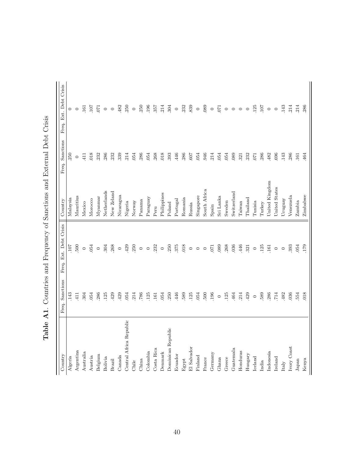| 143<br>304<br>054<br>286<br>429<br>429<br>054<br>214<br>786<br>054<br>250<br>446<br>589<br>411<br>125<br>125<br>161<br>Central Africa Republic<br>Dominican Republic<br>Costa Rica<br>Argentina<br>Colombia<br>Denmark<br>Australia<br>Ecuador<br>Belgium<br>Austria<br>Algeria<br>Canada<br>Bolivia<br>China<br>Brazil<br>Egypt<br>Chile | 107<br>500<br>054<br>$\circ$ | Malaysia       | 250     |                |
|-------------------------------------------------------------------------------------------------------------------------------------------------------------------------------------------------------------------------------------------------------------------------------------------------------------------------------------------|------------------------------|----------------|---------|----------------|
|                                                                                                                                                                                                                                                                                                                                           |                              |                |         | $\circ$        |
|                                                                                                                                                                                                                                                                                                                                           |                              | Mauritius      | $\circ$ | $\circ$        |
|                                                                                                                                                                                                                                                                                                                                           |                              | Mexico         | 411     | 161            |
|                                                                                                                                                                                                                                                                                                                                           |                              | Morocco        | 018     | 107            |
|                                                                                                                                                                                                                                                                                                                                           | $\circ$                      | Myannar        | 232     | <b>C</b>       |
|                                                                                                                                                                                                                                                                                                                                           | 304                          | Netherlands    | 286     | $\circ$        |
|                                                                                                                                                                                                                                                                                                                                           | 268                          | New Zeland     | 232     | $\circ$        |
|                                                                                                                                                                                                                                                                                                                                           | $\circ$                      | Nicaragua      | 339     | 482            |
|                                                                                                                                                                                                                                                                                                                                           | 429                          | Nigeria        | 214     | 250            |
|                                                                                                                                                                                                                                                                                                                                           | 250                          | Norway         | .054    | $\circ$        |
|                                                                                                                                                                                                                                                                                                                                           | $\circ$                      | Panama         | 286     | 250            |
|                                                                                                                                                                                                                                                                                                                                           | $\circ$                      | Paraguay       | .054    | .196           |
|                                                                                                                                                                                                                                                                                                                                           | 232                          | Peru           | .268    | 357            |
|                                                                                                                                                                                                                                                                                                                                           | $\circ$                      | Philippines    | .018    | 214            |
|                                                                                                                                                                                                                                                                                                                                           | 250                          | Poland         | .393    | .304           |
|                                                                                                                                                                                                                                                                                                                                           | 375                          | Portugal       | .446    | $\circ$        |
|                                                                                                                                                                                                                                                                                                                                           | 018                          | Romania        | 286     | 232            |
| .125<br>El Salvador                                                                                                                                                                                                                                                                                                                       | $\circ$                      | Russia         | .607    | 839            |
| .054<br>Finland                                                                                                                                                                                                                                                                                                                           | $\circ$                      | Singapore      | .054    | $\circ$        |
| 500<br>France                                                                                                                                                                                                                                                                                                                             | $\circ$                      | South Africa   | 946     | 089            |
| .196<br>Germany                                                                                                                                                                                                                                                                                                                           | <b>C2</b>                    | Spain          | 214     | $\circ$        |
| $\circ$<br>Ghana                                                                                                                                                                                                                                                                                                                          | 089                          | Sri Lanka      | .054    | $\overline{C}$ |
| .125<br>Greece                                                                                                                                                                                                                                                                                                                            | 268                          | Sweden         | .054    | $\circ$        |
| 464<br>Guatemala                                                                                                                                                                                                                                                                                                                          | 036                          | Switzerland    | .089    | $\circ$        |
| 214<br>Honduras                                                                                                                                                                                                                                                                                                                           | 446                          | Taiwan         | 321     | $\circ$        |
| 429<br>Hungary                                                                                                                                                                                                                                                                                                                            | 321                          | Thailand       | .232    | $\circ$        |
| $\circ$<br><b>Iceland</b>                                                                                                                                                                                                                                                                                                                 | $\circ$                      | Tunisia        | .071    | 125            |
| 589<br>India                                                                                                                                                                                                                                                                                                                              | 125                          | Turkey         | .286    | TOT.           |
| 286<br>Indonesia                                                                                                                                                                                                                                                                                                                          | $-161$                       | United Kingdom | 482     | $\circ$        |
| 714<br>Ireland                                                                                                                                                                                                                                                                                                                            | $\circ$                      | United States  | .696    | $\circ$        |
| 482<br>Italy                                                                                                                                                                                                                                                                                                                              | $\circ$                      | Uruguay        | .143    | .143           |
| .036<br>Ivory Coast                                                                                                                                                                                                                                                                                                                       | 393                          | Venezuela      | .286    | .214           |
| 554<br>Japan                                                                                                                                                                                                                                                                                                                              | 054                          | Zambia         | $-161$  | 214            |
| 018<br>Kenya                                                                                                                                                                                                                                                                                                                              | <b>CZT</b> .                 | Zimbabwe       | 464     | 286            |

Table A1. Countries and Frequency of Sanctions and External Debt Crisis Table A1. Countries and Frequency of Sanctions and External Debt Crisis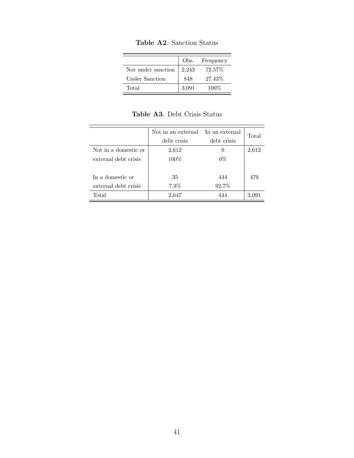|                    | Obs.  | Frequency |
|--------------------|-------|-----------|
| Not under sanction | 2,243 | 72.57%    |
| Under Sanction     | 848   | 27.43%    |
| Total              | 3,091 | $100\%$   |

Table A2. Sanction Status

|                      | Not in an external | In an external | Total |
|----------------------|--------------------|----------------|-------|
|                      | debt crisis        | debt crisis    |       |
| Not in a domestic or | 2,612              | $\theta$       | 2,612 |
| external debt crisis | 100%               | $0\%$          |       |
|                      |                    |                |       |
| In a domestic or     | 35                 | 444            | 479   |
| external debt crisis | $7.3\%$            | 92.7%          |       |
| Total                | 2,647              | 444            | 3,091 |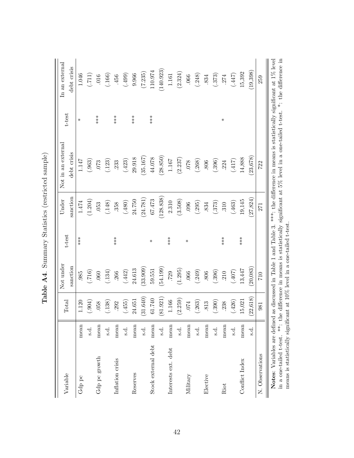| Variable                                                                |      | Total     | Not under<br>sanction | t-test | sanction<br>Under | Not in an external<br>debt crisis                                                                                                                                                                    | t-test | In an external<br>debt crisis |
|-------------------------------------------------------------------------|------|-----------|-----------------------|--------|-------------------|------------------------------------------------------------------------------------------------------------------------------------------------------------------------------------------------------|--------|-------------------------------|
| ${\rm Gdp}$ pc                                                          | mean | 1.120     | .985                  | ***    | 1.474             | 1.147                                                                                                                                                                                                | $\ast$ | 1.046                         |
|                                                                         | s.d. | (.604)    | (0.716)               |        | (1.204)           | (.963)                                                                                                                                                                                               |        | (.711)                        |
| Gdp pc growth                                                           | mean | 058       | .060                  |        | .053              | $073\,$                                                                                                                                                                                              | ***    | 016                           |
|                                                                         | s.d. | (138)     | (.134)                |        | (.148)            | (.123)                                                                                                                                                                                               |        | (.166)                        |
| Inflation crisis                                                        | mean | 292       | .266                  | $***$  | 358               | .233                                                                                                                                                                                                 | $***$  | .456                          |
|                                                                         | s.d. | (455)     | (.442)                |        | (084.)            | (.423)                                                                                                                                                                                               |        | (.499)                        |
| Reserves                                                                | mean | 24.651    | 24.613                |        | 24.750            | 29.918                                                                                                                                                                                               | $***$  | 9.966                         |
|                                                                         | s.d. | (31.640)  | 33.909                |        | (24.781)          | 35.167                                                                                                                                                                                               |        | (7.235)                       |
| Stock external debt                                                     | mean | 61.740    | 59.551                | $\ast$ | 67.473            | 44.078                                                                                                                                                                                               | $***$  | 110.974                       |
|                                                                         | s.d. | (81.921)  | (54.199)              |        | (128.838)         | (28.850)                                                                                                                                                                                             |        | (140.923)                     |
| Interests ext. debt                                                     | mean | 1.166     | .729                  | ***    | 2.310             | 1.167                                                                                                                                                                                                |        | 1.161                         |
|                                                                         | s.d. | (2.259)   | (1.295)               |        | (3.508)           | (2.237)                                                                                                                                                                                              |        | (2.324)                       |
| Military                                                                | mean | .074      | .066                  | $\ast$ | 096               | 078                                                                                                                                                                                                  |        | .066                          |
|                                                                         | s.d. | (263)     | (.249)                |        | (.295)            | (.268)                                                                                                                                                                                               |        | (.248)                        |
| Elective                                                                | mean | 813       | <b>806</b>            |        | 834               | 806                                                                                                                                                                                                  |        | 834                           |
|                                                                         | s.d. | .390)     | (.396)                |        | (.373)            | (.396)                                                                                                                                                                                               |        | (.373)                        |
| Riot                                                                    | mean | 238       | .210                  | ***    | .310              | 224                                                                                                                                                                                                  | ⋇      | 274                           |
|                                                                         | ತೆ.  | (426)     | (407)                 |        | (.463)            | (417)                                                                                                                                                                                                |        | (1447)                        |
| Conflict Index                                                          | mean | 15,021    | 13,447                | ***    | 19,145            | 14,888                                                                                                                                                                                               |        | 15,392                        |
|                                                                         | નું. | (22, 618) | 20,083)               |        | 27,824)           | 23,678)                                                                                                                                                                                              |        | (19,398)                      |
| N. Observations                                                         |      | 981       | 710                   |        | 271               | 722                                                                                                                                                                                                  |        | 259                           |
| Notes: Variables are defined<br>in a one-tailed t-test. $**:$ th        |      |           |                       |        |                   | as discussed in Table 1 and Table 3. ***: the difference in means is statistically significant at 1% level<br>e difference in means is statistically significant at 5% level in a one-tailed t-test. |        | *: the difference in          |
| means is statistically significant at 10% level in a one-tailed t-test. |      |           |                       |        |                   |                                                                                                                                                                                                      |        |                               |

Table A4. Summary Statistics (restricted sample) Table A4. Summary Statistics (restricted sample)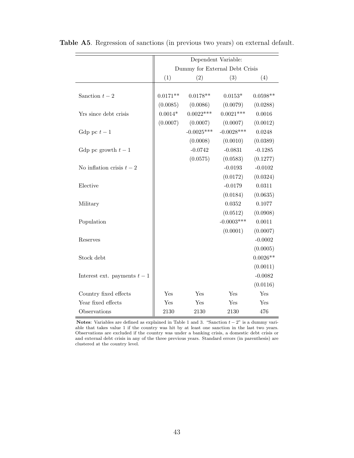|                              |            |                                | Dependent Variable: |            |
|------------------------------|------------|--------------------------------|---------------------|------------|
|                              |            | Dummy for External Debt Crisis |                     |            |
|                              | (1)        | (2)                            | (3)                 | (4)        |
|                              |            |                                |                     |            |
| Sanction $t-2$               | $0.0171**$ | $0.0178**$                     | $0.0153*$           | $0.0598**$ |
|                              | (0.0085)   | (0.0086)                       | (0.0079)            | (0.0288)   |
| Yrs since debt crisis        | $0.0014*$  | $0.0022***$                    | $0.0021***$         | 0.0016     |
|                              | (0.0007)   | (0.0007)                       | (0.0007)            | (0.0012)   |
| Gdp pc $t-1$                 |            | $-0.0025***$                   | $-0.0028***$        | 0.0248     |
|                              |            | (0.0008)                       | (0.0010)            | (0.0389)   |
| Gdp pc growth $t-1$          |            | $-0.0742$                      | $-0.0831$           | $-0.1285$  |
|                              |            | (0.0575)                       | (0.0583)            | (0.1277)   |
| No inflation crisis $t-2$    |            |                                | $-0.0193$           | $-0.0102$  |
|                              |            |                                | (0.0172)            | (0.0324)   |
| Elective                     |            |                                | $-0.0179$           | 0.0311     |
|                              |            |                                | (0.0184)            | (0.0635)   |
| Military                     |            |                                | 0.0352              | 0.1077     |
|                              |            |                                | (0.0512)            | (0.0908)   |
| Population                   |            |                                | $-0.0003***$        | 0.0011     |
|                              |            |                                | (0.0001)            | (0.0007)   |
| Reserves                     |            |                                |                     | $-0.0002$  |
|                              |            |                                |                     | (0.0005)   |
| Stock debt                   |            |                                |                     | $0.0026**$ |
|                              |            |                                |                     | (0.0011)   |
| Interest ext. payments $t-1$ |            |                                |                     | $-0.0082$  |
|                              |            |                                |                     | (0.0116)   |
| Country fixed effects        | Yes        | Yes                            | Yes                 | Yes        |
| Year fixed effects           | Yes        | Yes                            | Yes                 | Yes        |
| Observations                 | 2130       | 2130                           | 2130                | 476        |

Table A5. Regression of sanctions (in previous two years) on external default.

Notes: Variables are defined as explained in Table 1 and 3. "Sanction  $t - 2$ " is a dummy variable that takes value 1 if the country was hit by at least one sanction in the last two years. Observations are excluded if the country was under a banking crisis, a domestic debt crisis or and external debt crisis in any of the three previous years. Standard errors (in parenthesis) are clustered at the country level.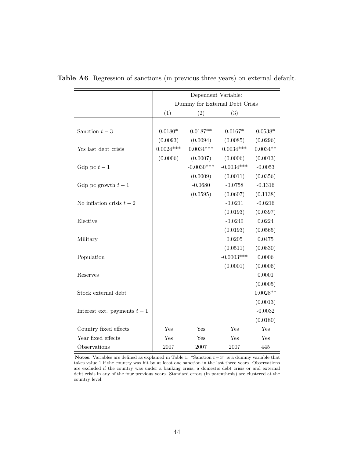|                              |             | Dependent Variable: |                                |                 |
|------------------------------|-------------|---------------------|--------------------------------|-----------------|
|                              |             |                     | Dummy for External Debt Crisis |                 |
|                              | (1)         | (2)                 | (3)                            |                 |
|                              |             |                     |                                |                 |
| Sanction $t-3$               | $0.0180*$   | $0.0187**$          | $0.0167*$                      | $0.0538^{\ast}$ |
|                              | (0.0093)    | (0.0094)            | (0.0085)                       | (0.0296)        |
| Yrs last debt crisis         | $0.0024***$ | $0.0034***$         | $0.0034***$                    | $0.0034**$      |
|                              | (0.0006)    | (0.0007)            | (0.0006)                       | (0.0013)        |
| Gdp pc $t-1$                 |             | $-0.0030***$        | $-0.0034***$                   | $-0.0053$       |
|                              |             | (0.0009)            | (0.0011)                       | (0.0356)        |
| Gdp pc growth $t-1$          |             | $-0.0680$           | $-0.0758$                      | $-0.1316$       |
|                              |             | (0.0595)            | (0.0607)                       | (0.1138)        |
| No inflation crisis $t-2$    |             |                     | $-0.0211$                      | $-0.0216$       |
|                              |             |                     | (0.0193)                       | (0.0397)        |
| Elective                     |             |                     | $-0.0240$                      | 0.0224          |
|                              |             |                     | (0.0193)                       | (0.0565)        |
| Military                     |             |                     | 0.0205                         | 0.0475          |
|                              |             |                     | (0.0511)                       | (0.0830)        |
| Population                   |             |                     | $-0.0003***$                   | 0.0006          |
|                              |             |                     | (0.0001)                       | (0.0006)        |
| Reserves                     |             |                     |                                | 0.0001          |
|                              |             |                     |                                | (0.0005)        |
| Stock external debt          |             |                     |                                | $0.0028**$      |
|                              |             |                     |                                | (0.0013)        |
| Interest ext. payments $t-1$ |             |                     |                                | $-0.0032$       |
|                              |             |                     |                                | (0.0180)        |
| Country fixed effects        | Yes         | Yes                 | Yes                            | Yes             |
| Year fixed effects           | Yes         | Yes                 | Yes                            | Yes             |
| Observations                 | 2007        | 2007                | 2007                           | 445             |

Table A6. Regression of sanctions (in previous three years) on external default.

Notes: Variables are defined as explained in Table 1. "Sanction  $t - 3$ " is a dummy variable that takes value 1 if the country was hit by at least one sanction in the last three years. Observations are excluded if the country was under a banking crisis, a domestic debt crisis or and external debt crisis in any of the four previous years. Standard errors (in parenthesis) are clustered at the country level.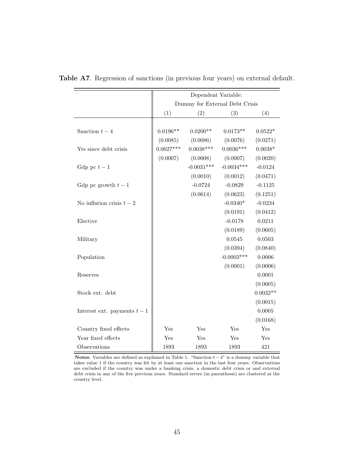|                              | Dependent Variable:            |              |              |            |
|------------------------------|--------------------------------|--------------|--------------|------------|
|                              | Dummy for External Debt Crisis |              |              |            |
|                              | (1)                            | (2)          | (3)          | (4)        |
|                              |                                |              |              |            |
| Sanction $t-4$               | $0.0196**$                     | $0.0200**$   | $0.0173**$   | $0.0522*$  |
|                              | (0.0085)                       | (0.0086)     | (0.0076)     | (0.0271)   |
| Yrs since debt crisis        | $0.0027***$                    | $0.0038***$  | $0.0036***$  | $0.0038*$  |
|                              | (0.0007)                       | (0.0008)     | (0.0007)     | (0.0020)   |
| Gdp pc $t-1$                 |                                | $-0.0031***$ | $-0.0034***$ | $-0.0124$  |
|                              |                                | (0.0010)     | (0.0012)     | (0.0471)   |
| Gdp pc growth $t-1$          |                                | $-0.0724$    | $-0.0829$    | $-0.1125$  |
|                              |                                | (0.0614)     | (0.0623)     | (0.1251)   |
| No inflation crisis $t-2$    |                                |              | $-0.0340*$   | $-0.0234$  |
|                              |                                |              | (0.0191)     | (0.0412)   |
| Elective                     |                                |              | $-0.0178$    | 0.0211     |
|                              |                                |              | (0.0189)     | (0.0605)   |
| Military                     |                                |              | 0.0545       | 0.0503     |
|                              |                                |              | (0.0394)     | (0.0840)   |
| Population                   |                                |              | $-0.0003***$ | 0.0006     |
|                              |                                |              | (0.0001)     | (0.0006)   |
| Reserves                     |                                |              |              | 0.0001     |
|                              |                                |              |              | (0.0005)   |
| Stock ext. debt              |                                |              |              | $0.0032**$ |
|                              |                                |              |              | (0.0015)   |
| Interest ext. payments $t-1$ |                                |              |              | 0.0005     |
|                              |                                |              |              | (0.0168)   |
| Country fixed effects        | Yes                            | Yes          | Yes          | Yes        |
| Year fixed effects           | Yes                            | Yes          | Yes          | Yes        |
| Observations                 | 1893                           | 1893         | 1893         | 421        |

Table A7. Regression of sanctions (in previous four years) on external default.

Notes: Variables are defined as explained in Table 1. "Sanction  $t - 4$ " is a dummy variable that takes value 1 if the country was hit by at least one sanction in the last four years. Observations are excluded if the country was under a banking crisis, a domestic debt crisis or and external debt crisis in any of the five previous years. Standard errors (in parenthesis) are clustered at the country level.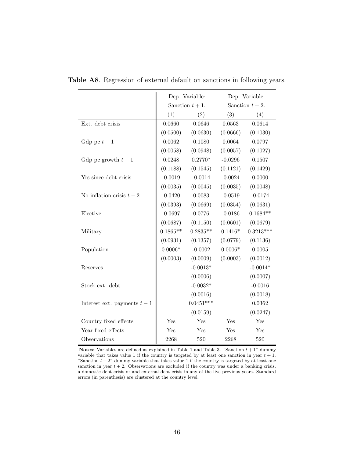|                              | Dep. Variable:   |             | Dep. Variable:     |             |
|------------------------------|------------------|-------------|--------------------|-------------|
|                              | Sanction $t+1$ . |             | Sanction $t + 2$ . |             |
|                              | (1)              | (2)         | (3)                | (4)         |
| Ext. debt crisis             | 0.0660           | 0.0646      | 0.0563             | 0.0614      |
|                              | (0.0500)         | (0.0630)    | (0.0666)           | (0.1030)    |
| Gdp pc $t-1$                 | 0.0062           | 0.1080      | 0.0064             | 0.0797      |
|                              | (0.0058)         | (0.0948)    | (0.0057)           | (0.1027)    |
| Gdp pc growth $t-1$          | 0.0248           | $0.2770*$   | $-0.0296$          | 0.1507      |
|                              | (0.1188)         | (0.1545)    | (0.1121)           | (0.1429)    |
| Yrs since debt crisis        | $-0.0019$        | $-0.0014$   | $-0.0024$          | 0.0000      |
|                              | (0.0035)         | (0.0045)    | (0.0035)           | (0.0048)    |
| No inflation crisis $t-2$    | $-0.0420$        | 0.0083      | $-0.0519$          | $-0.0174$   |
|                              | (0.0393)         | (0.0669)    | (0.0354)           | (0.0631)    |
| Elective                     | $-0.0697$        | 0.0776      | $-0.0186$          | $0.1684**$  |
|                              | (0.0687)         | (0.1150)    | (0.0601)           | (0.0679)    |
| Military                     | $0.1865**$       | $0.2835**$  | $0.1416*$          | $0.3213***$ |
|                              | (0.0931)         | (0.1357)    | (0.0779)           | (0.1136)    |
| Population                   | $0.0006*$        | $-0.0002$   | $0.0006*$          | 0.0005      |
|                              | (0.0003)         | (0.0009)    | (0.0003)           | (0.0012)    |
| Reserves                     |                  | $-0.0013*$  |                    | $-0.0014*$  |
|                              |                  | (0.0006)    |                    | (0.0007)    |
| Stock ext. debt              |                  | $-0.0032*$  |                    | $-0.0016$   |
|                              |                  | (0.0016)    |                    | (0.0018)    |
| Interest ext. payments $t-1$ |                  | $0.0451***$ |                    | 0.0362      |
|                              |                  | (0.0159)    |                    | (0.0247)    |
| Country fixed effects        | Yes              | Yes         | Yes                | Yes         |
| Year fixed effects           | Yes              | Yes         | Yes                | Yes         |
| Observations                 | 2268             | $520\,$     | 2268               | 520         |

Table A8. Regression of external default on sanctions in following years.

Notes: Variables are defined as explained in Table 1 and Table 3. "Sanction  $t + 1$ " dummy variable that takes value 1 if the country is targeted by at least one sanction in year  $t + 1$ . "Sanction  $t + 2$ " dummy variable that takes value 1 if the country is targeted by at least one sanction in year  $t + 2$ . Observations are excluded if the country was under a banking crisis, a domestic debt crisis or and external debt crisis in any of the five previous years. Standard errors (in parenthesis) are clustered at the country level.